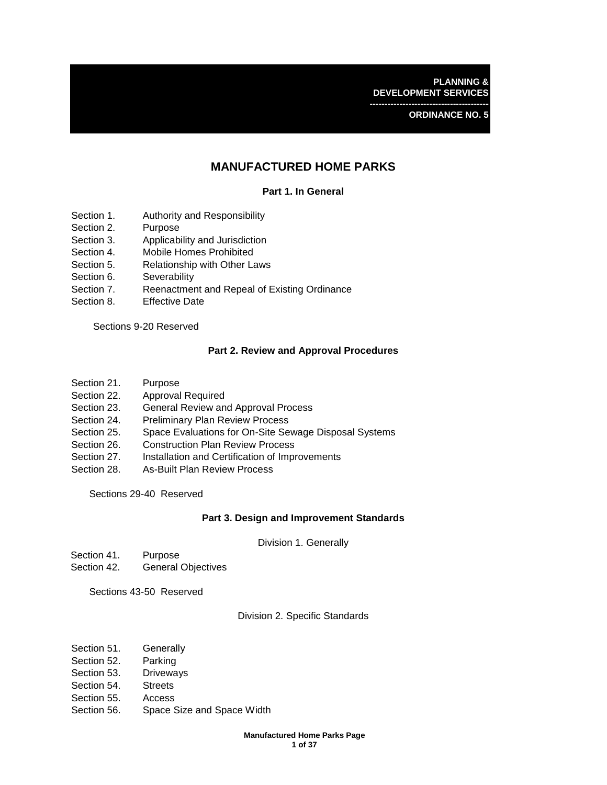**PLANNING & DEVELOPMENT SERVICES ----------------------------------------**

**ORDINANCE NO. 5** 

# **MANUFACTURED HOME PARKS**

# **Part 1. In General**

- Section 1. Authority and Responsibility
- Section 2. Purpose
- Section 3. Applicability and Jurisdiction
- Section 4. Mobile Homes Prohibited
- Section 5. Relationship with Other Laws
- Section 6. Severability
- Section 7. Reenactment and Repeal of Existing Ordinance
- Section 8. Effective Date

Sections 9-20 Reserved

## **Part 2. Review and Approval Procedures**

- Section 21. Purpose
- Section 22. Approval Required
- Section 23. General Review and Approval Process
- Section 24. Preliminary Plan Review Process
- Section 25. Space Evaluations for On-Site Sewage Disposal Systems
- Section 26. Construction Plan Review Process
- Section 27. Installation and Certification of Improvements
- Section 28. As-Built Plan Review Process

Sections 29-40 Reserved

## **Part 3. Design and Improvement Standards**

Division 1. Generally

- Section 41. Purpose
- Section 42. General Objectives

Sections 43-50 Reserved

# Division 2. Specific Standards

- Section 51. Generally
- Section 52. Parking
- Section 53. Driveways
- Section 54. Streets
- Section 55. Access
- Section 56. Space Size and Space Width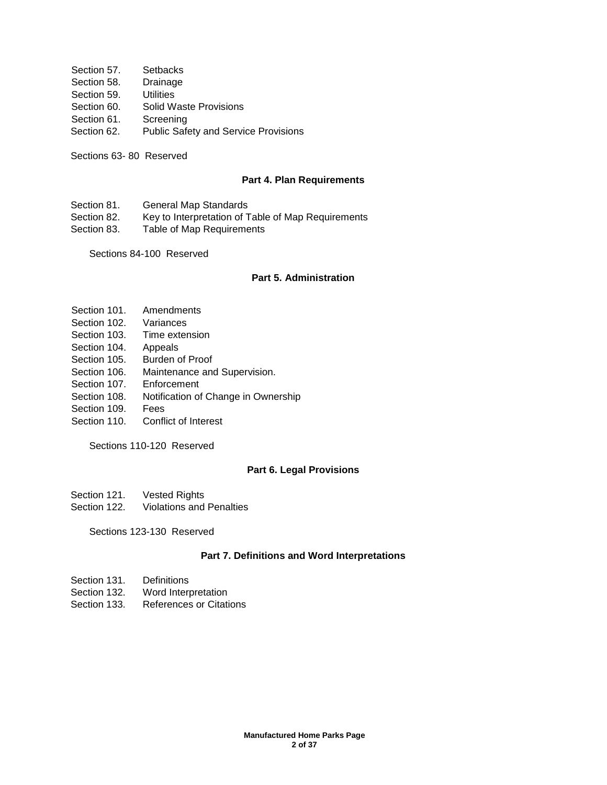- Section 57. Setbacks Section 58. Drainage Section 59. Utilities Section 60. Solid Waste Provisions Section 61. Screening Section 62. Public Safety and Service Provisions
- Sections 63- 80 Reserved

#### **Part 4. Plan Requirements**

Section 81. General Map Standards

Section 82. Key to Interpretation of Table of Map Requirements

Section 83. Table of Map Requirements

Sections 84-100 Reserved

## **Part 5. Administration**

- Section 101. Amendments
- Section 102. Variances
- Section 103. Time extension
- Section 104. Appeals
- Section 105. Burden of Proof
- Section 106. Maintenance and Supervision.
- Section 107. Enforcement
- Section 108. Notification of Change in Ownership
- Section 109. Fees
- Section 110. Conflict of Interest

Sections 110-120 Reserved

## **Part 6. Legal Provisions**

- Section 121. Vested Rights
- Section 122. Violations and Penalties

Sections 123-130 Reserved

# **Part 7. Definitions and Word Interpretations**

- Section 131. Definitions
- Section 132. Word Interpretation
- Section 133. References or Citations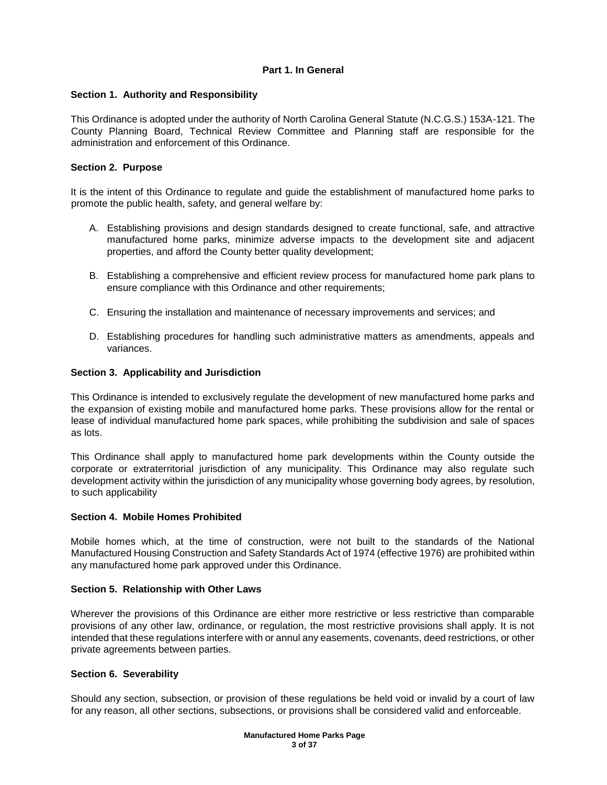# **Part 1. In General**

## **Section 1. Authority and Responsibility**

This Ordinance is adopted under the authority of North Carolina General Statute (N.C.G.S.) 153A-121. The County Planning Board, Technical Review Committee and Planning staff are responsible for the administration and enforcement of this Ordinance.

## **Section 2. Purpose**

It is the intent of this Ordinance to regulate and guide the establishment of manufactured home parks to promote the public health, safety, and general welfare by:

- A. Establishing provisions and design standards designed to create functional, safe, and attractive manufactured home parks, minimize adverse impacts to the development site and adjacent properties, and afford the County better quality development;
- B. Establishing a comprehensive and efficient review process for manufactured home park plans to ensure compliance with this Ordinance and other requirements;
- C. Ensuring the installation and maintenance of necessary improvements and services; and
- D. Establishing procedures for handling such administrative matters as amendments, appeals and variances.

# **Section 3. Applicability and Jurisdiction**

This Ordinance is intended to exclusively regulate the development of new manufactured home parks and the expansion of existing mobile and manufactured home parks. These provisions allow for the rental or lease of individual manufactured home park spaces, while prohibiting the subdivision and sale of spaces as lots.

This Ordinance shall apply to manufactured home park developments within the County outside the corporate or extraterritorial jurisdiction of any municipality. This Ordinance may also regulate such development activity within the jurisdiction of any municipality whose governing body agrees, by resolution, to such applicability

## **Section 4. Mobile Homes Prohibited**

Mobile homes which, at the time of construction, were not built to the standards of the National Manufactured Housing Construction and Safety Standards Act of 1974 (effective 1976) are prohibited within any manufactured home park approved under this Ordinance.

## **Section 5. Relationship with Other Laws**

Wherever the provisions of this Ordinance are either more restrictive or less restrictive than comparable provisions of any other law, ordinance, or regulation, the most restrictive provisions shall apply. It is not intended that these regulations interfere with or annul any easements, covenants, deed restrictions, or other private agreements between parties.

## **Section 6. Severability**

Should any section, subsection, or provision of these regulations be held void or invalid by a court of law for any reason, all other sections, subsections, or provisions shall be considered valid and enforceable.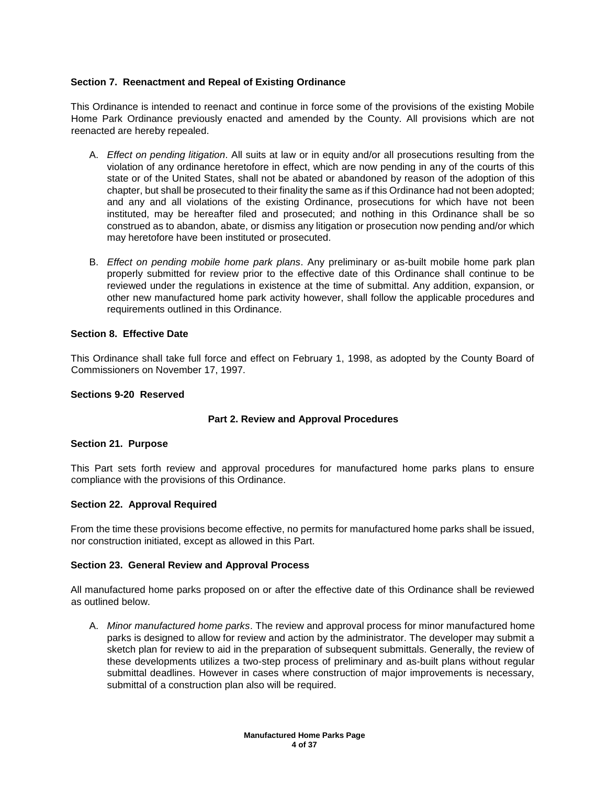# **Section 7. Reenactment and Repeal of Existing Ordinance**

This Ordinance is intended to reenact and continue in force some of the provisions of the existing Mobile Home Park Ordinance previously enacted and amended by the County. All provisions which are not reenacted are hereby repealed.

- A. *Effect on pending litigation*. All suits at law or in equity and/or all prosecutions resulting from the violation of any ordinance heretofore in effect, which are now pending in any of the courts of this state or of the United States, shall not be abated or abandoned by reason of the adoption of this chapter, but shall be prosecuted to their finality the same as if this Ordinance had not been adopted; and any and all violations of the existing Ordinance, prosecutions for which have not been instituted, may be hereafter filed and prosecuted; and nothing in this Ordinance shall be so construed as to abandon, abate, or dismiss any litigation or prosecution now pending and/or which may heretofore have been instituted or prosecuted.
- B. *Effect on pending mobile home park plans*. Any preliminary or as-built mobile home park plan properly submitted for review prior to the effective date of this Ordinance shall continue to be reviewed under the regulations in existence at the time of submittal. Any addition, expansion, or other new manufactured home park activity however, shall follow the applicable procedures and requirements outlined in this Ordinance.

## **Section 8. Effective Date**

This Ordinance shall take full force and effect on February 1, 1998, as adopted by the County Board of Commissioners on November 17, 1997.

## **Sections 9-20 Reserved**

## **Part 2. Review and Approval Procedures**

## **Section 21. Purpose**

This Part sets forth review and approval procedures for manufactured home parks plans to ensure compliance with the provisions of this Ordinance.

## **Section 22. Approval Required**

From the time these provisions become effective, no permits for manufactured home parks shall be issued, nor construction initiated, except as allowed in this Part.

#### **Section 23. General Review and Approval Process**

All manufactured home parks proposed on or after the effective date of this Ordinance shall be reviewed as outlined below.

A. *Minor manufactured home parks*. The review and approval process for minor manufactured home parks is designed to allow for review and action by the administrator. The developer may submit a sketch plan for review to aid in the preparation of subsequent submittals. Generally, the review of these developments utilizes a two-step process of preliminary and as-built plans without regular submittal deadlines. However in cases where construction of major improvements is necessary, submittal of a construction plan also will be required.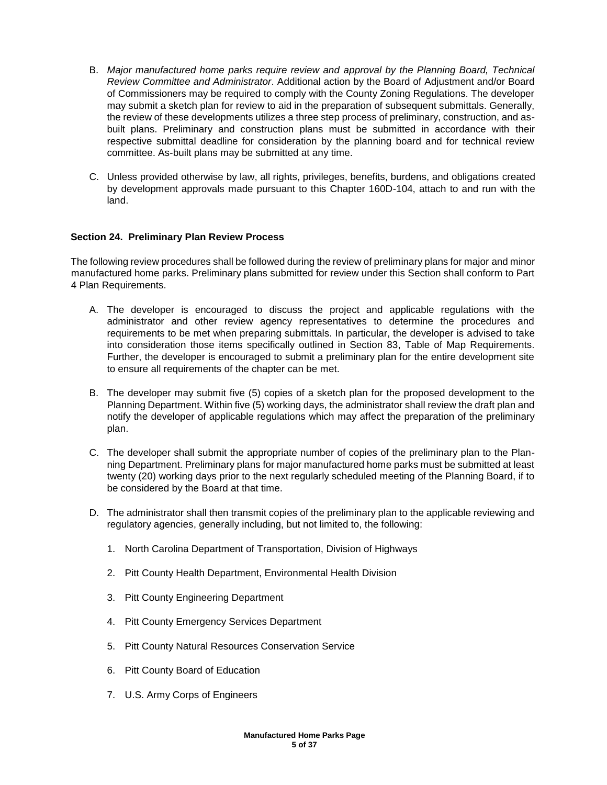- B. *Major manufactured home parks require review and approval by the Planning Board, Technical Review Committee and Administrator*. Additional action by the Board of Adjustment and/or Board of Commissioners may be required to comply with the County Zoning Regulations. The developer may submit a sketch plan for review to aid in the preparation of subsequent submittals. Generally, the review of these developments utilizes a three step process of preliminary, construction, and asbuilt plans. Preliminary and construction plans must be submitted in accordance with their respective submittal deadline for consideration by the planning board and for technical review committee. As-built plans may be submitted at any time.
- C. Unless provided otherwise by law, all rights, privileges, benefits, burdens, and obligations created by development approvals made pursuant to this Chapter 160D-104, attach to and run with the land.

# **Section 24. Preliminary Plan Review Process**

The following review procedures shall be followed during the review of preliminary plans for major and minor manufactured home parks. Preliminary plans submitted for review under this Section shall conform to Part 4 Plan Requirements.

- A. The developer is encouraged to discuss the project and applicable regulations with the administrator and other review agency representatives to determine the procedures and requirements to be met when preparing submittals. In particular, the developer is advised to take into consideration those items specifically outlined in Section 83, Table of Map Requirements. Further, the developer is encouraged to submit a preliminary plan for the entire development site to ensure all requirements of the chapter can be met.
- B. The developer may submit five (5) copies of a sketch plan for the proposed development to the Planning Department. Within five (5) working days, the administrator shall review the draft plan and notify the developer of applicable regulations which may affect the preparation of the preliminary plan.
- C. The developer shall submit the appropriate number of copies of the preliminary plan to the Planning Department. Preliminary plans for major manufactured home parks must be submitted at least twenty (20) working days prior to the next regularly scheduled meeting of the Planning Board, if to be considered by the Board at that time.
- D. The administrator shall then transmit copies of the preliminary plan to the applicable reviewing and regulatory agencies, generally including, but not limited to, the following:
	- 1. North Carolina Department of Transportation, Division of Highways
	- 2. Pitt County Health Department, Environmental Health Division
	- 3. Pitt County Engineering Department
	- 4. Pitt County Emergency Services Department
	- 5. Pitt County Natural Resources Conservation Service
	- 6. Pitt County Board of Education
	- 7. U.S. Army Corps of Engineers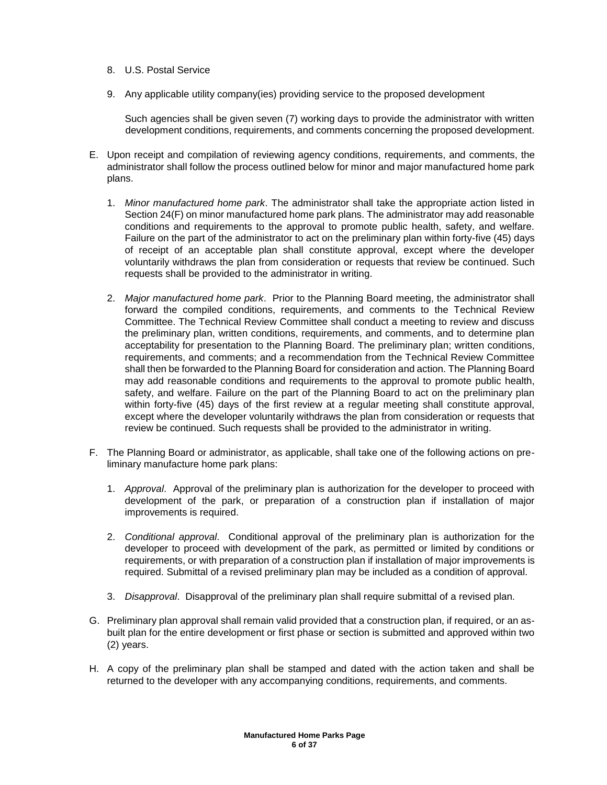- 8. U.S. Postal Service
- 9. Any applicable utility company(ies) providing service to the proposed development

Such agencies shall be given seven (7) working days to provide the administrator with written development conditions, requirements, and comments concerning the proposed development.

- E. Upon receipt and compilation of reviewing agency conditions, requirements, and comments, the administrator shall follow the process outlined below for minor and major manufactured home park plans.
	- 1. *Minor manufactured home park*. The administrator shall take the appropriate action listed in Section 24(F) on minor manufactured home park plans. The administrator may add reasonable conditions and requirements to the approval to promote public health, safety, and welfare. Failure on the part of the administrator to act on the preliminary plan within forty-five (45) days of receipt of an acceptable plan shall constitute approval, except where the developer voluntarily withdraws the plan from consideration or requests that review be continued. Such requests shall be provided to the administrator in writing.
	- 2. *Major manufactured home park*. Prior to the Planning Board meeting, the administrator shall forward the compiled conditions, requirements, and comments to the Technical Review Committee. The Technical Review Committee shall conduct a meeting to review and discuss the preliminary plan, written conditions, requirements, and comments, and to determine plan acceptability for presentation to the Planning Board. The preliminary plan; written conditions, requirements, and comments; and a recommendation from the Technical Review Committee shall then be forwarded to the Planning Board for consideration and action. The Planning Board may add reasonable conditions and requirements to the approval to promote public health, safety, and welfare. Failure on the part of the Planning Board to act on the preliminary plan within forty-five (45) days of the first review at a regular meeting shall constitute approval, except where the developer voluntarily withdraws the plan from consideration or requests that review be continued. Such requests shall be provided to the administrator in writing.
- F. The Planning Board or administrator, as applicable, shall take one of the following actions on preliminary manufacture home park plans:
	- 1. *Approval*. Approval of the preliminary plan is authorization for the developer to proceed with development of the park, or preparation of a construction plan if installation of major improvements is required.
	- 2. *Conditional approval*. Conditional approval of the preliminary plan is authorization for the developer to proceed with development of the park, as permitted or limited by conditions or requirements, or with preparation of a construction plan if installation of major improvements is required. Submittal of a revised preliminary plan may be included as a condition of approval.
	- 3. *Disapproval*. Disapproval of the preliminary plan shall require submittal of a revised plan.
- G. Preliminary plan approval shall remain valid provided that a construction plan, if required, or an asbuilt plan for the entire development or first phase or section is submitted and approved within two (2) years.
- H. A copy of the preliminary plan shall be stamped and dated with the action taken and shall be returned to the developer with any accompanying conditions, requirements, and comments.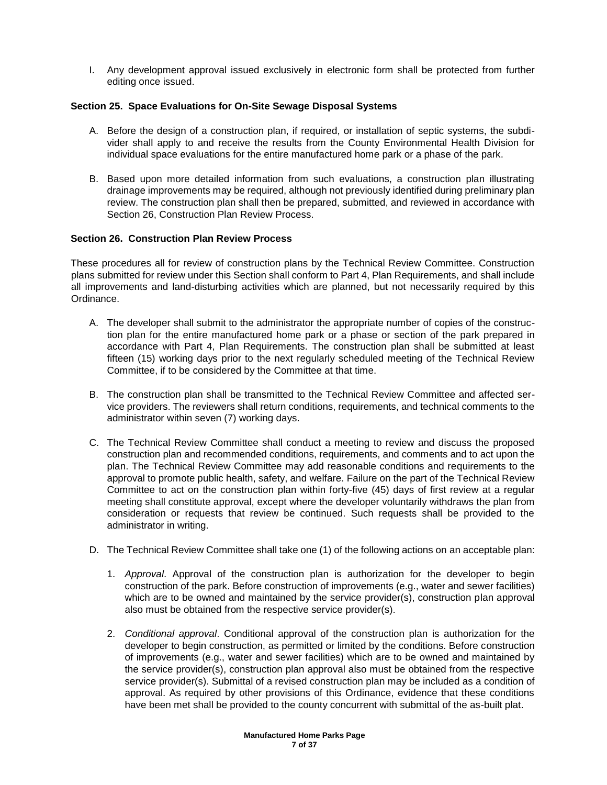I. Any development approval issued exclusively in electronic form shall be protected from further editing once issued.

# **Section 25. Space Evaluations for On-Site Sewage Disposal Systems**

- A. Before the design of a construction plan, if required, or installation of septic systems, the subdivider shall apply to and receive the results from the County Environmental Health Division for individual space evaluations for the entire manufactured home park or a phase of the park.
- B. Based upon more detailed information from such evaluations, a construction plan illustrating drainage improvements may be required, although not previously identified during preliminary plan review. The construction plan shall then be prepared, submitted, and reviewed in accordance with Section 26, Construction Plan Review Process.

# **Section 26. Construction Plan Review Process**

These procedures all for review of construction plans by the Technical Review Committee. Construction plans submitted for review under this Section shall conform to Part 4, Plan Requirements, and shall include all improvements and land-disturbing activities which are planned, but not necessarily required by this Ordinance.

- A. The developer shall submit to the administrator the appropriate number of copies of the construction plan for the entire manufactured home park or a phase or section of the park prepared in accordance with Part 4, Plan Requirements. The construction plan shall be submitted at least fifteen (15) working days prior to the next regularly scheduled meeting of the Technical Review Committee, if to be considered by the Committee at that time.
- B. The construction plan shall be transmitted to the Technical Review Committee and affected service providers. The reviewers shall return conditions, requirements, and technical comments to the administrator within seven (7) working days.
- C. The Technical Review Committee shall conduct a meeting to review and discuss the proposed construction plan and recommended conditions, requirements, and comments and to act upon the plan. The Technical Review Committee may add reasonable conditions and requirements to the approval to promote public health, safety, and welfare. Failure on the part of the Technical Review Committee to act on the construction plan within forty-five (45) days of first review at a regular meeting shall constitute approval, except where the developer voluntarily withdraws the plan from consideration or requests that review be continued. Such requests shall be provided to the administrator in writing.
- D. The Technical Review Committee shall take one (1) of the following actions on an acceptable plan:
	- 1. *Approval*. Approval of the construction plan is authorization for the developer to begin construction of the park. Before construction of improvements (e.g., water and sewer facilities) which are to be owned and maintained by the service provider(s), construction plan approval also must be obtained from the respective service provider(s).
	- 2. *Conditional approval*. Conditional approval of the construction plan is authorization for the developer to begin construction, as permitted or limited by the conditions. Before construction of improvements (e.g., water and sewer facilities) which are to be owned and maintained by the service provider(s), construction plan approval also must be obtained from the respective service provider(s). Submittal of a revised construction plan may be included as a condition of approval. As required by other provisions of this Ordinance, evidence that these conditions have been met shall be provided to the county concurrent with submittal of the as-built plat.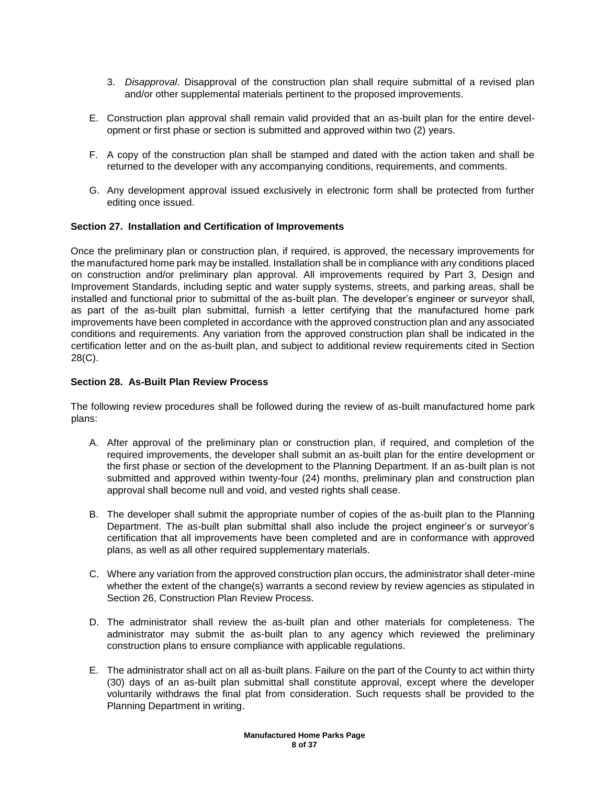- 3. *Disapproval*. Disapproval of the construction plan shall require submittal of a revised plan and/or other supplemental materials pertinent to the proposed improvements.
- E. Construction plan approval shall remain valid provided that an as-built plan for the entire development or first phase or section is submitted and approved within two (2) years.
- F. A copy of the construction plan shall be stamped and dated with the action taken and shall be returned to the developer with any accompanying conditions, requirements, and comments.
- G. Any development approval issued exclusively in electronic form shall be protected from further editing once issued.

# **Section 27. Installation and Certification of Improvements**

Once the preliminary plan or construction plan, if required, is approved, the necessary improvements for the manufactured home park may be installed. Installation shall be in compliance with any conditions placed on construction and/or preliminary plan approval. All improvements required by Part 3, Design and Improvement Standards, including septic and water supply systems, streets, and parking areas, shall be installed and functional prior to submittal of the as-built plan. The developer's engineer or surveyor shall, as part of the as-built plan submittal, furnish a letter certifying that the manufactured home park improvements have been completed in accordance with the approved construction plan and any associated conditions and requirements. Any variation from the approved construction plan shall be indicated in the certification letter and on the as-built plan, and subject to additional review requirements cited in Section 28(C).

## **Section 28. As-Built Plan Review Process**

The following review procedures shall be followed during the review of as-built manufactured home park plans:

- A. After approval of the preliminary plan or construction plan, if required, and completion of the required improvements, the developer shall submit an as-built plan for the entire development or the first phase or section of the development to the Planning Department. If an as-built plan is not submitted and approved within twenty-four (24) months, preliminary plan and construction plan approval shall become null and void, and vested rights shall cease.
- B. The developer shall submit the appropriate number of copies of the as-built plan to the Planning Department. The as-built plan submittal shall also include the project engineer's or surveyor's certification that all improvements have been completed and are in conformance with approved plans, as well as all other required supplementary materials.
- C. Where any variation from the approved construction plan occurs, the administrator shall deter-mine whether the extent of the change(s) warrants a second review by review agencies as stipulated in Section 26, Construction Plan Review Process.
- D. The administrator shall review the as-built plan and other materials for completeness. The administrator may submit the as-built plan to any agency which reviewed the preliminary construction plans to ensure compliance with applicable regulations.
- E. The administrator shall act on all as-built plans. Failure on the part of the County to act within thirty (30) days of an as-built plan submittal shall constitute approval, except where the developer voluntarily withdraws the final plat from consideration. Such requests shall be provided to the Planning Department in writing.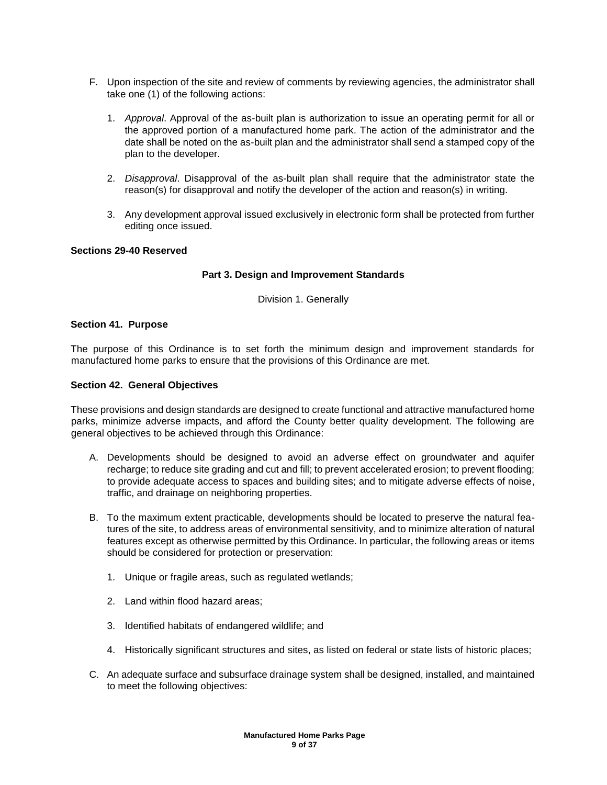- F. Upon inspection of the site and review of comments by reviewing agencies, the administrator shall take one (1) of the following actions:
	- 1. *Approval*. Approval of the as-built plan is authorization to issue an operating permit for all or the approved portion of a manufactured home park. The action of the administrator and the date shall be noted on the as-built plan and the administrator shall send a stamped copy of the plan to the developer.
	- 2. *Disapproval*. Disapproval of the as-built plan shall require that the administrator state the reason(s) for disapproval and notify the developer of the action and reason(s) in writing.
	- 3. Any development approval issued exclusively in electronic form shall be protected from further editing once issued.

## **Sections 29-40 Reserved**

# **Part 3. Design and Improvement Standards**

Division 1. Generally

## **Section 41. Purpose**

The purpose of this Ordinance is to set forth the minimum design and improvement standards for manufactured home parks to ensure that the provisions of this Ordinance are met.

#### **Section 42. General Objectives**

These provisions and design standards are designed to create functional and attractive manufactured home parks, minimize adverse impacts, and afford the County better quality development. The following are general objectives to be achieved through this Ordinance:

- A. Developments should be designed to avoid an adverse effect on groundwater and aquifer recharge; to reduce site grading and cut and fill; to prevent accelerated erosion; to prevent flooding; to provide adequate access to spaces and building sites; and to mitigate adverse effects of noise, traffic, and drainage on neighboring properties.
- B. To the maximum extent practicable, developments should be located to preserve the natural features of the site, to address areas of environmental sensitivity, and to minimize alteration of natural features except as otherwise permitted by this Ordinance. In particular, the following areas or items should be considered for protection or preservation:
	- 1. Unique or fragile areas, such as regulated wetlands;
	- 2. Land within flood hazard areas;
	- 3. Identified habitats of endangered wildlife; and
	- 4. Historically significant structures and sites, as listed on federal or state lists of historic places;
- C. An adequate surface and subsurface drainage system shall be designed, installed, and maintained to meet the following objectives: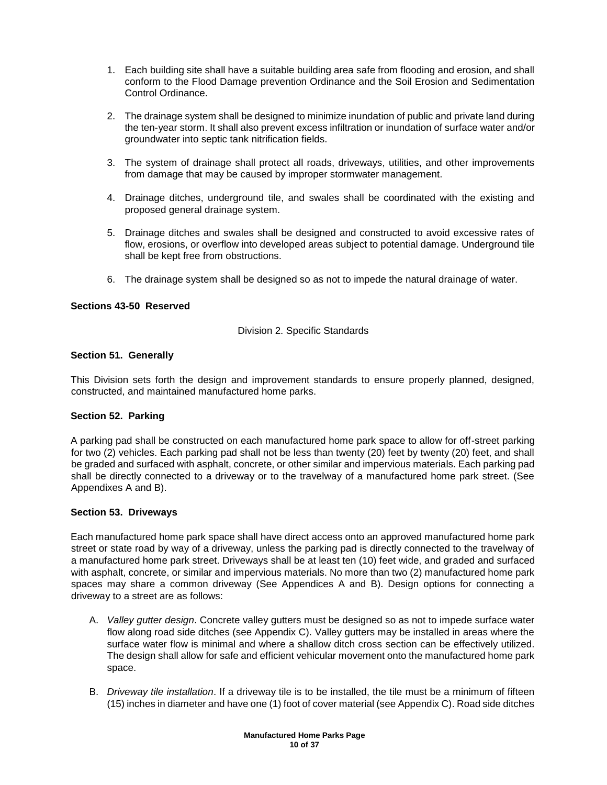- 1. Each building site shall have a suitable building area safe from flooding and erosion, and shall conform to the Flood Damage prevention Ordinance and the Soil Erosion and Sedimentation Control Ordinance.
- 2. The drainage system shall be designed to minimize inundation of public and private land during the ten-year storm. It shall also prevent excess infiltration or inundation of surface water and/or groundwater into septic tank nitrification fields.
- 3. The system of drainage shall protect all roads, driveways, utilities, and other improvements from damage that may be caused by improper stormwater management.
- 4. Drainage ditches, underground tile, and swales shall be coordinated with the existing and proposed general drainage system.
- 5. Drainage ditches and swales shall be designed and constructed to avoid excessive rates of flow, erosions, or overflow into developed areas subject to potential damage. Underground tile shall be kept free from obstructions.
- 6. The drainage system shall be designed so as not to impede the natural drainage of water.

# **Sections 43-50 Reserved**

Division 2. Specific Standards

# **Section 51. Generally**

This Division sets forth the design and improvement standards to ensure properly planned, designed, constructed, and maintained manufactured home parks.

## **Section 52. Parking**

A parking pad shall be constructed on each manufactured home park space to allow for off-street parking for two (2) vehicles. Each parking pad shall not be less than twenty (20) feet by twenty (20) feet, and shall be graded and surfaced with asphalt, concrete, or other similar and impervious materials. Each parking pad shall be directly connected to a driveway or to the travelway of a manufactured home park street. (See Appendixes A and B).

## **Section 53. Driveways**

Each manufactured home park space shall have direct access onto an approved manufactured home park street or state road by way of a driveway, unless the parking pad is directly connected to the travelway of a manufactured home park street. Driveways shall be at least ten (10) feet wide, and graded and surfaced with asphalt, concrete, or similar and impervious materials. No more than two (2) manufactured home park spaces may share a common driveway (See Appendices A and B). Design options for connecting a driveway to a street are as follows:

- A. *Valley gutter design*. Concrete valley gutters must be designed so as not to impede surface water flow along road side ditches (see Appendix C). Valley gutters may be installed in areas where the surface water flow is minimal and where a shallow ditch cross section can be effectively utilized. The design shall allow for safe and efficient vehicular movement onto the manufactured home park space.
- B. *Driveway tile installation*. If a driveway tile is to be installed, the tile must be a minimum of fifteen (15) inches in diameter and have one (1) foot of cover material (see Appendix C). Road side ditches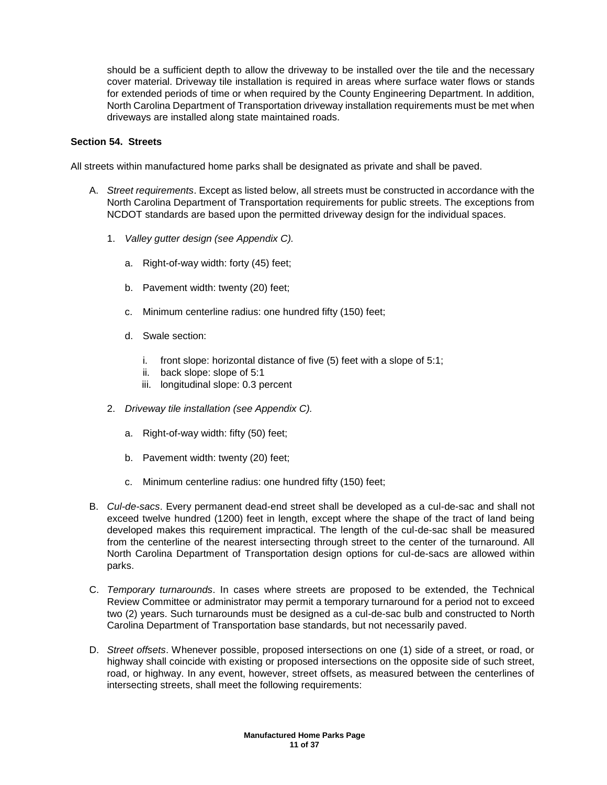should be a sufficient depth to allow the driveway to be installed over the tile and the necessary cover material. Driveway tile installation is required in areas where surface water flows or stands for extended periods of time or when required by the County Engineering Department. In addition, North Carolina Department of Transportation driveway installation requirements must be met when driveways are installed along state maintained roads.

# **Section 54. Streets**

All streets within manufactured home parks shall be designated as private and shall be paved.

- A. *Street requirements*. Except as listed below, all streets must be constructed in accordance with the North Carolina Department of Transportation requirements for public streets. The exceptions from NCDOT standards are based upon the permitted driveway design for the individual spaces.
	- 1. *Valley gutter design (see Appendix C).* 
		- a. Right-of-way width: forty (45) feet;
		- b. Pavement width: twenty (20) feet;
		- c. Minimum centerline radius: one hundred fifty (150) feet;
		- d. Swale section:
			- i. front slope: horizontal distance of five (5) feet with a slope of 5:1;
			- ii. back slope: slope of 5:1
			- iii. longitudinal slope: 0.3 percent
	- 2. *Driveway tile installation (see Appendix C).* 
		- a. Right-of-way width: fifty (50) feet;
		- b. Pavement width: twenty (20) feet;
		- c. Minimum centerline radius: one hundred fifty (150) feet;
- B. *Cul-de-sacs*. Every permanent dead-end street shall be developed as a cul-de-sac and shall not exceed twelve hundred (1200) feet in length, except where the shape of the tract of land being developed makes this requirement impractical. The length of the cul-de-sac shall be measured from the centerline of the nearest intersecting through street to the center of the turnaround. All North Carolina Department of Transportation design options for cul-de-sacs are allowed within parks.
- C. *Temporary turnarounds*. In cases where streets are proposed to be extended, the Technical Review Committee or administrator may permit a temporary turnaround for a period not to exceed two (2) years. Such turnarounds must be designed as a cul-de-sac bulb and constructed to North Carolina Department of Transportation base standards, but not necessarily paved.
- D. *Street offsets*. Whenever possible, proposed intersections on one (1) side of a street, or road, or highway shall coincide with existing or proposed intersections on the opposite side of such street, road, or highway. In any event, however, street offsets, as measured between the centerlines of intersecting streets, shall meet the following requirements: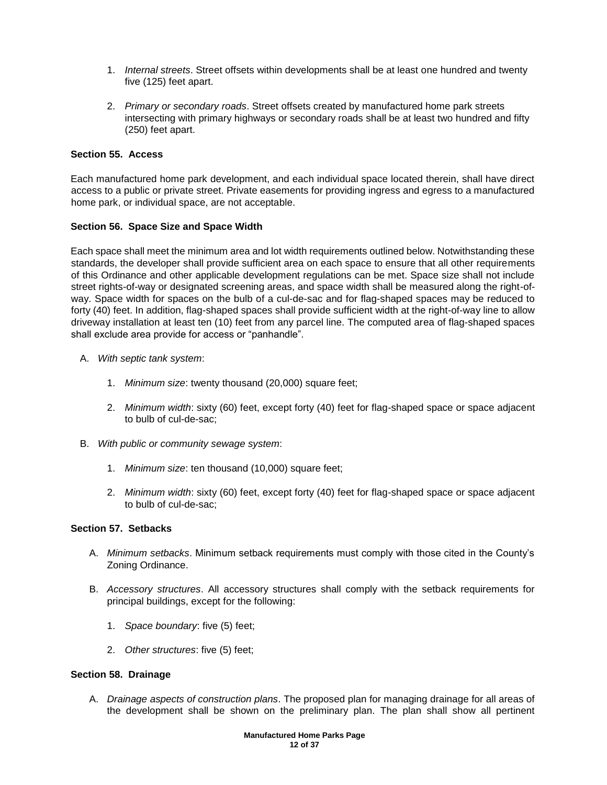- 1. *Internal streets*. Street offsets within developments shall be at least one hundred and twenty five (125) feet apart.
- 2. *Primary or secondary roads*. Street offsets created by manufactured home park streets intersecting with primary highways or secondary roads shall be at least two hundred and fifty (250) feet apart.

# **Section 55. Access**

Each manufactured home park development, and each individual space located therein, shall have direct access to a public or private street. Private easements for providing ingress and egress to a manufactured home park, or individual space, are not acceptable.

# **Section 56. Space Size and Space Width**

Each space shall meet the minimum area and lot width requirements outlined below. Notwithstanding these standards, the developer shall provide sufficient area on each space to ensure that all other requirements of this Ordinance and other applicable development regulations can be met. Space size shall not include street rights-of-way or designated screening areas, and space width shall be measured along the right-ofway. Space width for spaces on the bulb of a cul-de-sac and for flag-shaped spaces may be reduced to forty (40) feet. In addition, flag-shaped spaces shall provide sufficient width at the right-of-way line to allow driveway installation at least ten (10) feet from any parcel line. The computed area of flag-shaped spaces shall exclude area provide for access or "panhandle".

- A. *With septic tank system*:
	- 1. *Minimum size*: twenty thousand (20,000) square feet;
	- 2. *Minimum width*: sixty (60) feet, except forty (40) feet for flag-shaped space or space adjacent to bulb of cul-de-sac;
- B. *With public or community sewage system*:
	- 1. *Minimum size*: ten thousand (10,000) square feet;
	- 2. *Minimum width*: sixty (60) feet, except forty (40) feet for flag-shaped space or space adjacent to bulb of cul-de-sac;

# **Section 57. Setbacks**

- A. *Minimum setbacks*. Minimum setback requirements must comply with those cited in the County's Zoning Ordinance.
- B. *Accessory structures*. All accessory structures shall comply with the setback requirements for principal buildings, except for the following:
	- 1. *Space boundary*: five (5) feet;
	- 2. *Other structures*: five (5) feet;

## **Section 58. Drainage**

A. *Drainage aspects of construction plans*. The proposed plan for managing drainage for all areas of the development shall be shown on the preliminary plan. The plan shall show all pertinent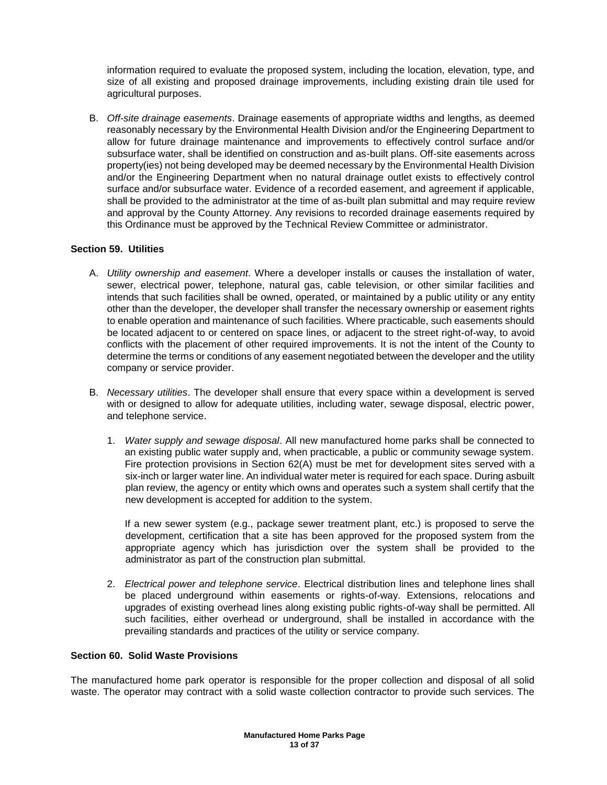information required to evaluate the proposed system, including the location, elevation, type, and size of all existing and proposed drainage improvements, including existing drain tile used for agricultural purposes.

B. *Off-site drainage easements*. Drainage easements of appropriate widths and lengths, as deemed reasonably necessary by the Environmental Health Division and/or the Engineering Department to allow for future drainage maintenance and improvements to effectively control surface and/or subsurface water, shall be identified on construction and as-built plans. Off-site easements across property(ies) not being developed may be deemed necessary by the Environmental Health Division and/or the Engineering Department when no natural drainage outlet exists to effectively control surface and/or subsurface water. Evidence of a recorded easement, and agreement if applicable, shall be provided to the administrator at the time of as-built plan submittal and may require review and approval by the County Attorney. Any revisions to recorded drainage easements required by this Ordinance must be approved by the Technical Review Committee or administrator.

# **Section 59. Utilities**

- A. *Utility ownership and easement*. Where a developer installs or causes the installation of water, sewer, electrical power, telephone, natural gas, cable television, or other similar facilities and intends that such facilities shall be owned, operated, or maintained by a public utility or any entity other than the developer, the developer shall transfer the necessary ownership or easement rights to enable operation and maintenance of such facilities. Where practicable, such easements should be located adjacent to or centered on space lines, or adjacent to the street right-of-way, to avoid conflicts with the placement of other required improvements. It is not the intent of the County to determine the terms or conditions of any easement negotiated between the developer and the utility company or service provider.
- B. *Necessary utilities*. The developer shall ensure that every space within a development is served with or designed to allow for adequate utilities, including water, sewage disposal, electric power, and telephone service.
	- 1. *Water supply and sewage disposal*. All new manufactured home parks shall be connected to an existing public water supply and, when practicable, a public or community sewage system. Fire protection provisions in Section 62(A) must be met for development sites served with a six-inch or larger water line. An individual water meter is required for each space. During asbuilt plan review, the agency or entity which owns and operates such a system shall certify that the new development is accepted for addition to the system.

If a new sewer system (e.g., package sewer treatment plant, etc.) is proposed to serve the development, certification that a site has been approved for the proposed system from the appropriate agency which has jurisdiction over the system shall be provided to the administrator as part of the construction plan submittal.

2. *Electrical power and telephone service*. Electrical distribution lines and telephone lines shall be placed underground within easements or rights-of-way. Extensions, relocations and upgrades of existing overhead lines along existing public rights-of-way shall be permitted. All such facilities, either overhead or underground, shall be installed in accordance with the prevailing standards and practices of the utility or service company.

# **Section 60. Solid Waste Provisions**

The manufactured home park operator is responsible for the proper collection and disposal of all solid waste. The operator may contract with a solid waste collection contractor to provide such services. The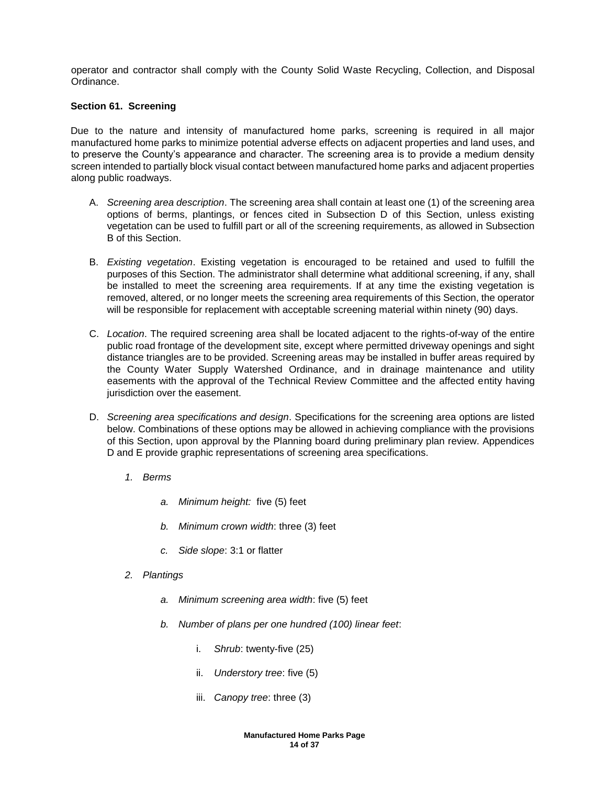operator and contractor shall comply with the County Solid Waste Recycling, Collection, and Disposal Ordinance.

## **Section 61. Screening**

Due to the nature and intensity of manufactured home parks, screening is required in all major manufactured home parks to minimize potential adverse effects on adjacent properties and land uses, and to preserve the County's appearance and character. The screening area is to provide a medium density screen intended to partially block visual contact between manufactured home parks and adjacent properties along public roadways.

- A. *Screening area description*. The screening area shall contain at least one (1) of the screening area options of berms, plantings, or fences cited in Subsection D of this Section, unless existing vegetation can be used to fulfill part or all of the screening requirements, as allowed in Subsection B of this Section.
- B. *Existing vegetation*. Existing vegetation is encouraged to be retained and used to fulfill the purposes of this Section. The administrator shall determine what additional screening, if any, shall be installed to meet the screening area requirements. If at any time the existing vegetation is removed, altered, or no longer meets the screening area requirements of this Section, the operator will be responsible for replacement with acceptable screening material within ninety (90) days.
- C. *Location*. The required screening area shall be located adjacent to the rights-of-way of the entire public road frontage of the development site, except where permitted driveway openings and sight distance triangles are to be provided. Screening areas may be installed in buffer areas required by the County Water Supply Watershed Ordinance, and in drainage maintenance and utility easements with the approval of the Technical Review Committee and the affected entity having jurisdiction over the easement.
- D. *Screening area specifications and design*. Specifications for the screening area options are listed below. Combinations of these options may be allowed in achieving compliance with the provisions of this Section, upon approval by the Planning board during preliminary plan review. Appendices D and E provide graphic representations of screening area specifications.
	- *1. Berms* 
		- *a. Minimum height:* five (5) feet
		- *b. Minimum crown width*: three (3) feet
		- *c. Side slope*: 3:1 or flatter
	- *2. Plantings*
		- *a. Minimum screening area width*: five (5) feet
		- *b. Number of plans per one hundred (100) linear feet*:
			- i. *Shrub*: twenty-five (25)
			- ii. *Understory tree*: five (5)
			- iii. *Canopy tree*: three (3)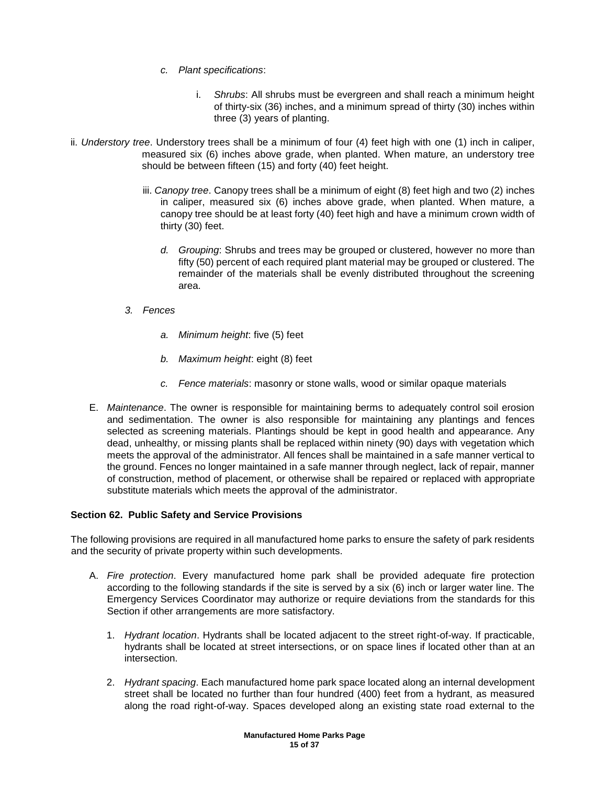- *c. Plant specifications*:
	- i. *Shrubs*: All shrubs must be evergreen and shall reach a minimum height of thirty-six (36) inches, and a minimum spread of thirty (30) inches within three (3) years of planting.
- ii. *Understory tree*. Understory trees shall be a minimum of four (4) feet high with one (1) inch in caliper, measured six (6) inches above grade, when planted. When mature, an understory tree should be between fifteen (15) and forty (40) feet height.
	- iii. *Canopy tree*. Canopy trees shall be a minimum of eight (8) feet high and two (2) inches in caliper, measured six (6) inches above grade, when planted. When mature, a canopy tree should be at least forty (40) feet high and have a minimum crown width of thirty (30) feet.
		- *d. Grouping*: Shrubs and trees may be grouped or clustered, however no more than fifty (50) percent of each required plant material may be grouped or clustered. The remainder of the materials shall be evenly distributed throughout the screening area.
	- *3. Fences*
		- *a. Minimum height*: five (5) feet
		- *b. Maximum height*: eight (8) feet
		- *c. Fence materials*: masonry or stone walls, wood or similar opaque materials
	- E. *Maintenance*. The owner is responsible for maintaining berms to adequately control soil erosion and sedimentation. The owner is also responsible for maintaining any plantings and fences selected as screening materials. Plantings should be kept in good health and appearance. Any dead, unhealthy, or missing plants shall be replaced within ninety (90) days with vegetation which meets the approval of the administrator. All fences shall be maintained in a safe manner vertical to the ground. Fences no longer maintained in a safe manner through neglect, lack of repair, manner of construction, method of placement, or otherwise shall be repaired or replaced with appropriate substitute materials which meets the approval of the administrator.

# **Section 62. Public Safety and Service Provisions**

The following provisions are required in all manufactured home parks to ensure the safety of park residents and the security of private property within such developments.

- A. *Fire protection*. Every manufactured home park shall be provided adequate fire protection according to the following standards if the site is served by a six (6) inch or larger water line. The Emergency Services Coordinator may authorize or require deviations from the standards for this Section if other arrangements are more satisfactory.
	- 1. *Hydrant location*. Hydrants shall be located adjacent to the street right-of-way. If practicable, hydrants shall be located at street intersections, or on space lines if located other than at an intersection.
	- 2. *Hydrant spacing*. Each manufactured home park space located along an internal development street shall be located no further than four hundred (400) feet from a hydrant, as measured along the road right-of-way. Spaces developed along an existing state road external to the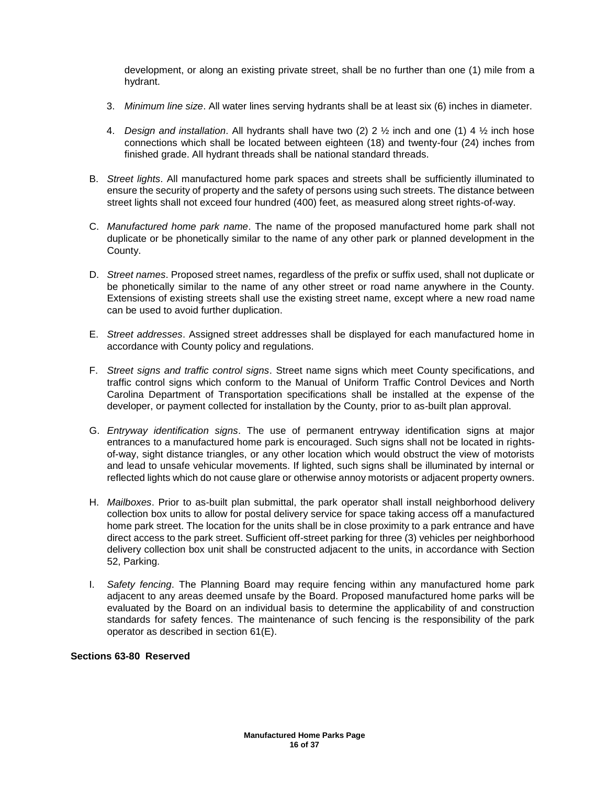development, or along an existing private street, shall be no further than one (1) mile from a hydrant.

- 3. *Minimum line size*. All water lines serving hydrants shall be at least six (6) inches in diameter.
- 4. *Design and installation*. All hydrants shall have two (2) 2 ½ inch and one (1) 4 ½ inch hose connections which shall be located between eighteen (18) and twenty-four (24) inches from finished grade. All hydrant threads shall be national standard threads.
- B. *Street lights*. All manufactured home park spaces and streets shall be sufficiently illuminated to ensure the security of property and the safety of persons using such streets. The distance between street lights shall not exceed four hundred (400) feet, as measured along street rights-of-way.
- C. *Manufactured home park name*. The name of the proposed manufactured home park shall not duplicate or be phonetically similar to the name of any other park or planned development in the County.
- D. *Street names*. Proposed street names, regardless of the prefix or suffix used, shall not duplicate or be phonetically similar to the name of any other street or road name anywhere in the County. Extensions of existing streets shall use the existing street name, except where a new road name can be used to avoid further duplication.
- E. *Street addresses*. Assigned street addresses shall be displayed for each manufactured home in accordance with County policy and regulations.
- F. *Street signs and traffic control signs*. Street name signs which meet County specifications, and traffic control signs which conform to the Manual of Uniform Traffic Control Devices and North Carolina Department of Transportation specifications shall be installed at the expense of the developer, or payment collected for installation by the County, prior to as-built plan approval.
- G. *Entryway identification signs*. The use of permanent entryway identification signs at major entrances to a manufactured home park is encouraged. Such signs shall not be located in rightsof-way, sight distance triangles, or any other location which would obstruct the view of motorists and lead to unsafe vehicular movements. If lighted, such signs shall be illuminated by internal or reflected lights which do not cause glare or otherwise annoy motorists or adjacent property owners.
- H. *Mailboxes*. Prior to as-built plan submittal, the park operator shall install neighborhood delivery collection box units to allow for postal delivery service for space taking access off a manufactured home park street. The location for the units shall be in close proximity to a park entrance and have direct access to the park street. Sufficient off-street parking for three (3) vehicles per neighborhood delivery collection box unit shall be constructed adjacent to the units, in accordance with Section 52, Parking.
- I. *Safety fencing*. The Planning Board may require fencing within any manufactured home park adjacent to any areas deemed unsafe by the Board. Proposed manufactured home parks will be evaluated by the Board on an individual basis to determine the applicability of and construction standards for safety fences. The maintenance of such fencing is the responsibility of the park operator as described in section 61(E).

# **Sections 63-80 Reserved**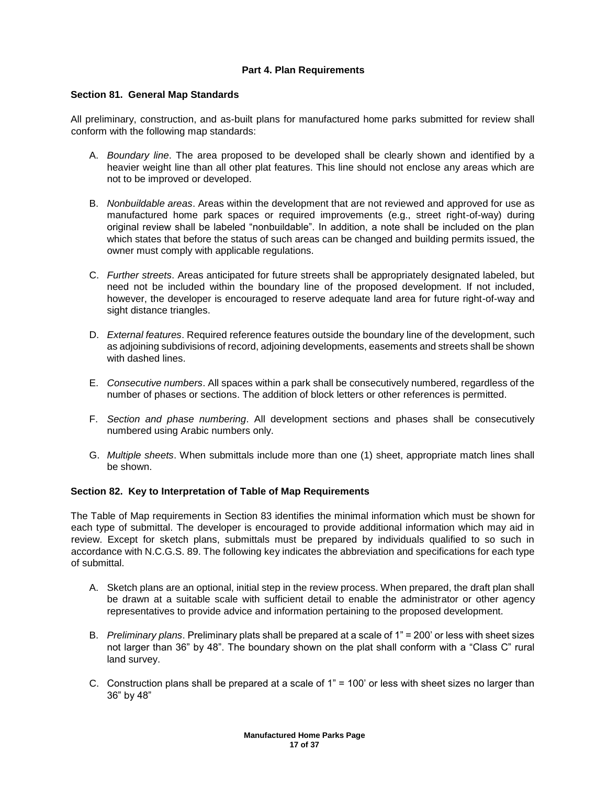# **Part 4. Plan Requirements**

## **Section 81. General Map Standards**

All preliminary, construction, and as-built plans for manufactured home parks submitted for review shall conform with the following map standards:

- A. *Boundary line*. The area proposed to be developed shall be clearly shown and identified by a heavier weight line than all other plat features. This line should not enclose any areas which are not to be improved or developed.
- B. *Nonbuildable areas*. Areas within the development that are not reviewed and approved for use as manufactured home park spaces or required improvements (e.g., street right-of-way) during original review shall be labeled "nonbuildable". In addition, a note shall be included on the plan which states that before the status of such areas can be changed and building permits issued, the owner must comply with applicable regulations.
- C. *Further streets*. Areas anticipated for future streets shall be appropriately designated labeled, but need not be included within the boundary line of the proposed development. If not included, however, the developer is encouraged to reserve adequate land area for future right-of-way and sight distance triangles.
- D. *External features*. Required reference features outside the boundary line of the development, such as adjoining subdivisions of record, adjoining developments, easements and streets shall be shown with dashed lines.
- E. *Consecutive numbers*. All spaces within a park shall be consecutively numbered, regardless of the number of phases or sections. The addition of block letters or other references is permitted.
- F. *Section and phase numbering*. All development sections and phases shall be consecutively numbered using Arabic numbers only.
- G. *Multiple sheets*. When submittals include more than one (1) sheet, appropriate match lines shall be shown.

## **Section 82. Key to Interpretation of Table of Map Requirements**

The Table of Map requirements in Section 83 identifies the minimal information which must be shown for each type of submittal. The developer is encouraged to provide additional information which may aid in review. Except for sketch plans, submittals must be prepared by individuals qualified to so such in accordance with N.C.G.S. 89. The following key indicates the abbreviation and specifications for each type of submittal.

- A. Sketch plans are an optional, initial step in the review process. When prepared, the draft plan shall be drawn at a suitable scale with sufficient detail to enable the administrator or other agency representatives to provide advice and information pertaining to the proposed development.
- B. *Preliminary plans*. Preliminary plats shall be prepared at a scale of 1" = 200' or less with sheet sizes not larger than 36" by 48". The boundary shown on the plat shall conform with a "Class C" rural land survey.
- C. Construction plans shall be prepared at a scale of 1" = 100' or less with sheet sizes no larger than 36" by 48"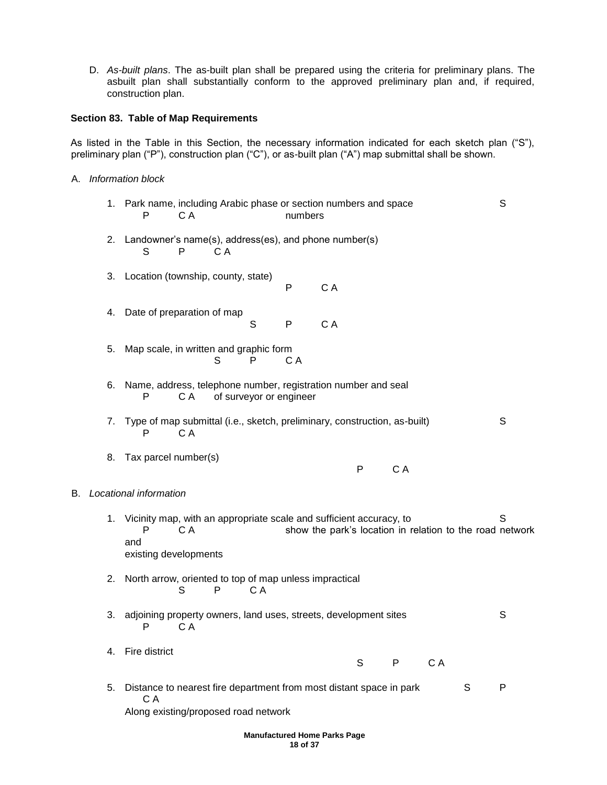D. *As-built plans*. The as-built plan shall be prepared using the criteria for preliminary plans. The asbuilt plan shall substantially conform to the approved preliminary plan and, if required, construction plan.

## **Section 83. Table of Map Requirements**

As listed in the Table in this Section, the necessary information indicated for each sketch plan ("S"), preliminary plan ("P"), construction plan ("C"), or as-built plan ("A") map submittal shall be shown.

A. *Information block* 

|    | 1. | Park name, including Arabic phase or section numbers and space<br>P<br>C A<br>numbers                                                                                       | S |
|----|----|-----------------------------------------------------------------------------------------------------------------------------------------------------------------------------|---|
|    | 2. | Landowner's name(s), address(es), and phone number(s)<br>S<br>P<br>C A                                                                                                      |   |
|    | 3. | Location (township, county, state)<br>P<br>C A                                                                                                                              |   |
|    | 4. | Date of preparation of map<br>S<br>${\sf P}$<br>C A                                                                                                                         |   |
|    | 5. | Map scale, in written and graphic form<br>P<br>S<br>C A                                                                                                                     |   |
|    | 6. | Name, address, telephone number, registration number and seal<br>of surveyor or engineer<br>P<br>C A                                                                        |   |
|    | 7. | Type of map submittal (i.e., sketch, preliminary, construction, as-built)<br>P<br>C A                                                                                       | S |
|    | 8. | Tax parcel number(s)<br>$\mathsf{P}$<br>C A                                                                                                                                 |   |
| В. |    | Locational information                                                                                                                                                      |   |
|    | 1. | Vicinity map, with an appropriate scale and sufficient accuracy, to<br>show the park's location in relation to the road network<br>P<br>C A<br>and<br>existing developments | S |
|    | 2. | North arrow, oriented to top of map unless impractical<br>S<br>C A<br>P                                                                                                     |   |
|    | 3. | adjoining property owners, land uses, streets, development sites<br>C A<br>P                                                                                                | S |
|    | 4. | Fire district<br>S<br>C A<br>P                                                                                                                                              |   |
|    | 5. | S<br>Distance to nearest fire department from most distant space in park<br>C A<br>Along existing/proposed road network                                                     | P |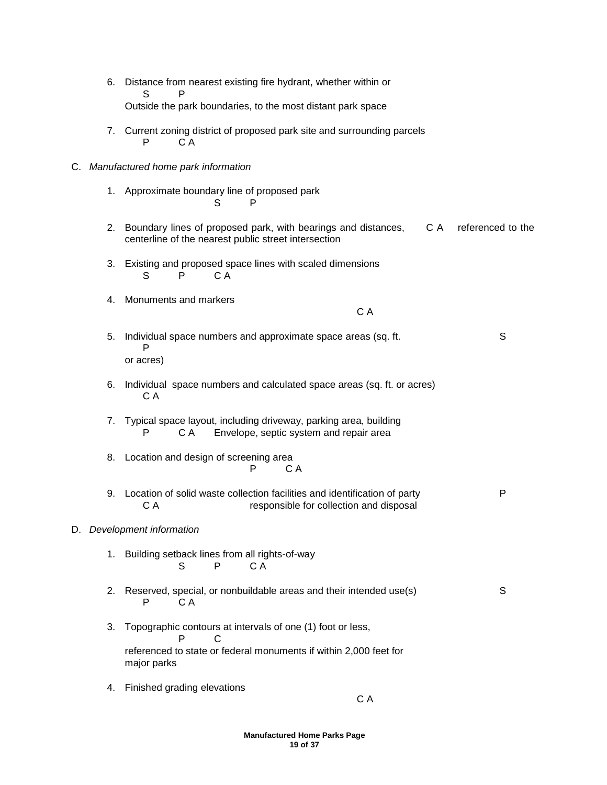- 6. Distance from nearest existing fire hydrant, whether within or S P Outside the park boundaries, to the most distant park space
- 7. Current zoning district of proposed park site and surrounding parcels P C A

#### C. *Manufactured home park information*

- 1. Approximate boundary line of proposed park S P
- 2. Boundary lines of proposed park, with bearings and distances, C A referenced to the centerline of the nearest public street intersection
- 3. Existing and proposed space lines with scaled dimensions S P C A
- 4. Monuments and markers

C A

- 5. Individual space numbers and approximate space areas (sq. ft. S P or acres)
- 6. Individual space numbers and calculated space areas (sq. ft. or acres) C A
- 7. Typical space layout, including driveway, parking area, building P C A Envelope, septic system and repair area
- 8. Location and design of screening area P CA
- 9. Location of solid waste collection facilities and identification of party P C A responsible for collection and disposal

## D. *Development information*

- 1. Building setback lines from all rights-of-way S P CA
- 2. Reserved, special, or nonbuildable areas and their intended use(s) S P C A
- 3. Topographic contours at intervals of one (1) foot or less, P C referenced to state or federal monuments if within 2,000 feet for major parks
- 4. Finished grading elevations

C A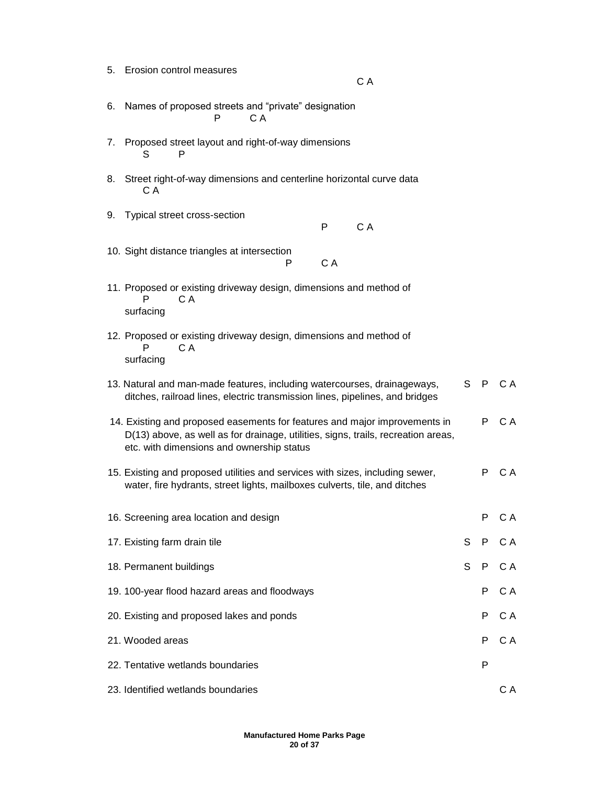5. Erosion control measures

- C A
- 6. Names of proposed streets and "private" designation P CA
- 7. Proposed street layout and right-of-way dimensions S P
- 8. Street right-of-way dimensions and centerline horizontal curve data C A
- 9. Typical street cross-section

P CA

- 10. Sight distance triangles at intersection P CA
- 11. Proposed or existing driveway design, dimensions and method of P CA surfacing
- 12. Proposed or existing driveway design, dimensions and method of P C A surfacing
- 13. Natural and man-made features, including watercourses, drainageways, ditches, railroad lines, electric transmission lines, pipelines, and bridges S P C A
- 14. Existing and proposed easements for features and major improvements in D(13) above, as well as for drainage, utilities, signs, trails, recreation areas, etc. with dimensions and ownership status P C A
- 15. Existing and proposed utilities and services with sizes, including sewer, P C A water, fire hydrants, street lights, mailboxes culverts, tile, and ditches

| 16. Screening area location and design        |  |    | P CA   |
|-----------------------------------------------|--|----|--------|
| 17. Existing farm drain tile                  |  |    | S P CA |
| 18. Permanent buildings                       |  |    | S P CA |
| 19. 100-year flood hazard areas and floodways |  | P. | C A    |
| 20. Existing and proposed lakes and ponds     |  |    | P CA   |
| 21. Wooded areas                              |  | P. | C A    |
| 22. Tentative wetlands boundaries             |  | P  |        |
| 23. Identified wetlands boundaries            |  |    | C A    |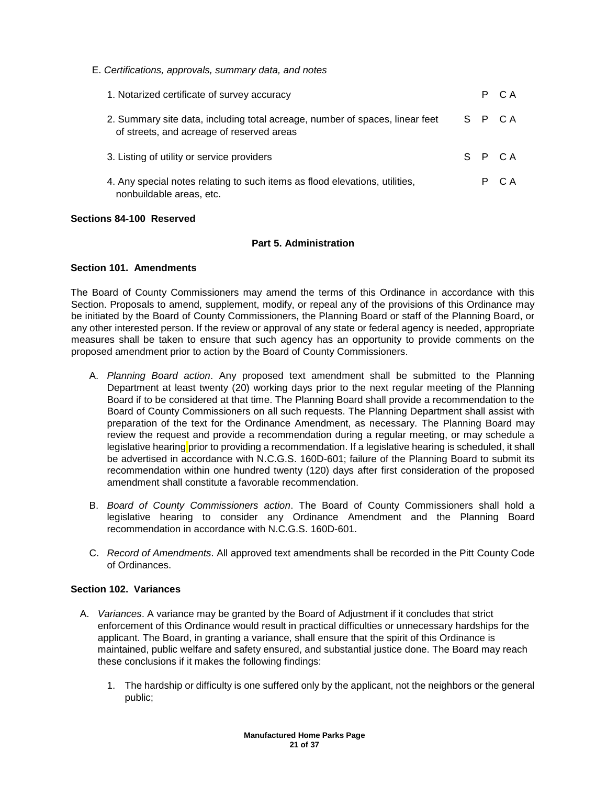E. *Certifications, approvals, summary data, and notes*

| 1. Notarized certificate of survey accuracy                                                                               |  |  | P CA   |
|---------------------------------------------------------------------------------------------------------------------------|--|--|--------|
| 2. Summary site data, including total acreage, number of spaces, linear feet<br>of streets, and acreage of reserved areas |  |  | S P CA |
| 3. Listing of utility or service providers                                                                                |  |  | S P CA |
| 4. Any special notes relating to such items as flood elevations, utilities,<br>nonbuildable areas, etc.                   |  |  | P CA   |

#### **Sections 84-100 Reserved**

## **Part 5. Administration**

## **Section 101. Amendments**

The Board of County Commissioners may amend the terms of this Ordinance in accordance with this Section. Proposals to amend, supplement, modify, or repeal any of the provisions of this Ordinance may be initiated by the Board of County Commissioners, the Planning Board or staff of the Planning Board, or any other interested person. If the review or approval of any state or federal agency is needed, appropriate measures shall be taken to ensure that such agency has an opportunity to provide comments on the proposed amendment prior to action by the Board of County Commissioners.

- A. *Planning Board action*. Any proposed text amendment shall be submitted to the Planning Department at least twenty (20) working days prior to the next regular meeting of the Planning Board if to be considered at that time. The Planning Board shall provide a recommendation to the Board of County Commissioners on all such requests. The Planning Department shall assist with preparation of the text for the Ordinance Amendment, as necessary. The Planning Board may review the request and provide a recommendation during a regular meeting, or may schedule a legislative hearing prior to providing a recommendation. If a legislative hearing is scheduled, it shall be advertised in accordance with N.C.G.S. 160D-601; failure of the Planning Board to submit its recommendation within one hundred twenty (120) days after first consideration of the proposed amendment shall constitute a favorable recommendation.
- B. *Board of County Commissioners action*. The Board of County Commissioners shall hold a legislative hearing to consider any Ordinance Amendment and the Planning Board recommendation in accordance with N.C.G.S. 160D-601.
- C. *Record of Amendments*. All approved text amendments shall be recorded in the Pitt County Code of Ordinances.

# **Section 102. Variances**

- A. *Variances*. A variance may be granted by the Board of Adjustment if it concludes that strict enforcement of this Ordinance would result in practical difficulties or unnecessary hardships for the applicant. The Board, in granting a variance, shall ensure that the spirit of this Ordinance is maintained, public welfare and safety ensured, and substantial justice done. The Board may reach these conclusions if it makes the following findings:
	- 1. The hardship or difficulty is one suffered only by the applicant, not the neighbors or the general public;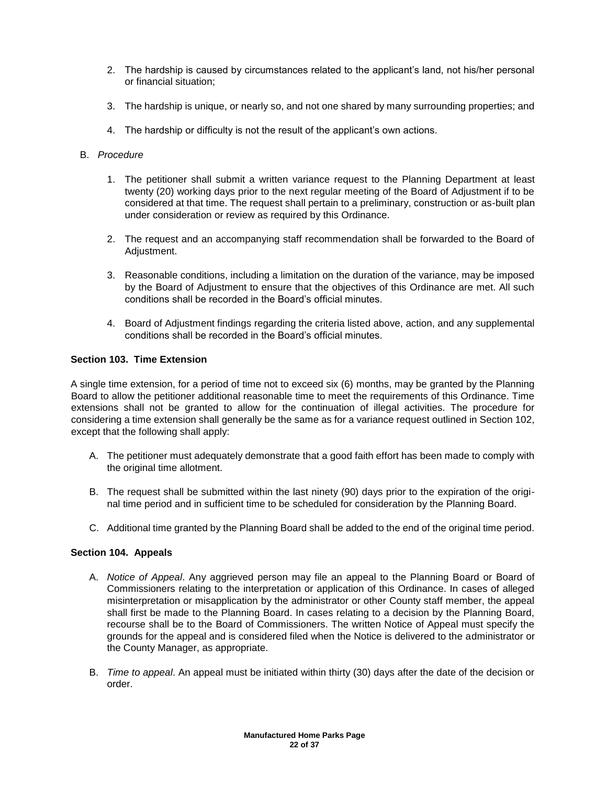- 2. The hardship is caused by circumstances related to the applicant's land, not his/her personal or financial situation;
- 3. The hardship is unique, or nearly so, and not one shared by many surrounding properties; and
- 4. The hardship or difficulty is not the result of the applicant's own actions.

## B. *Procedure*

- 1. The petitioner shall submit a written variance request to the Planning Department at least twenty (20) working days prior to the next regular meeting of the Board of Adjustment if to be considered at that time. The request shall pertain to a preliminary, construction or as-built plan under consideration or review as required by this Ordinance.
- 2. The request and an accompanying staff recommendation shall be forwarded to the Board of Adjustment.
- 3. Reasonable conditions, including a limitation on the duration of the variance, may be imposed by the Board of Adjustment to ensure that the objectives of this Ordinance are met. All such conditions shall be recorded in the Board's official minutes.
- 4. Board of Adjustment findings regarding the criteria listed above, action, and any supplemental conditions shall be recorded in the Board's official minutes.

# **Section 103. Time Extension**

A single time extension, for a period of time not to exceed six (6) months, may be granted by the Planning Board to allow the petitioner additional reasonable time to meet the requirements of this Ordinance. Time extensions shall not be granted to allow for the continuation of illegal activities. The procedure for considering a time extension shall generally be the same as for a variance request outlined in Section 102, except that the following shall apply:

- A. The petitioner must adequately demonstrate that a good faith effort has been made to comply with the original time allotment.
- B. The request shall be submitted within the last ninety (90) days prior to the expiration of the original time period and in sufficient time to be scheduled for consideration by the Planning Board.
- C. Additional time granted by the Planning Board shall be added to the end of the original time period.

## **Section 104. Appeals**

- A. *Notice of Appeal*. Any aggrieved person may file an appeal to the Planning Board or Board of Commissioners relating to the interpretation or application of this Ordinance. In cases of alleged misinterpretation or misapplication by the administrator or other County staff member, the appeal shall first be made to the Planning Board. In cases relating to a decision by the Planning Board, recourse shall be to the Board of Commissioners. The written Notice of Appeal must specify the grounds for the appeal and is considered filed when the Notice is delivered to the administrator or the County Manager, as appropriate.
- B. *Time to appeal*. An appeal must be initiated within thirty (30) days after the date of the decision or order.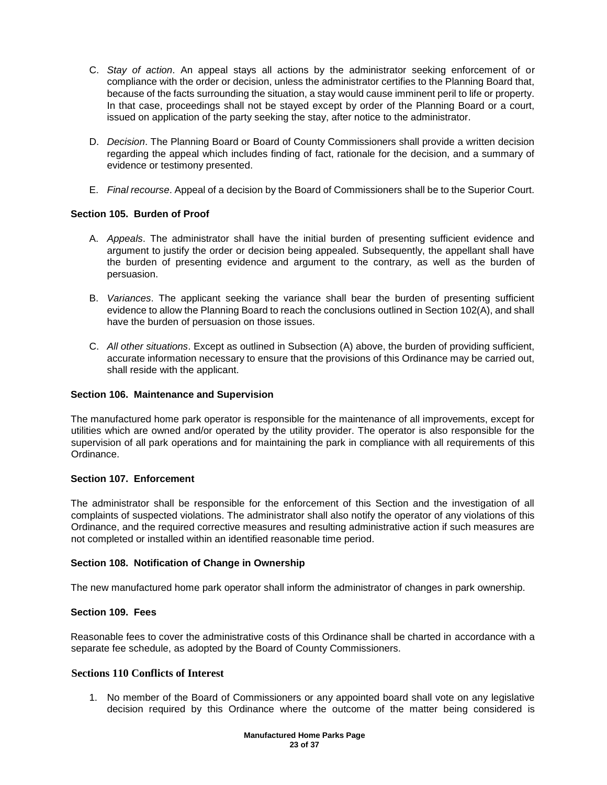- C. *Stay of action*. An appeal stays all actions by the administrator seeking enforcement of or compliance with the order or decision, unless the administrator certifies to the Planning Board that, because of the facts surrounding the situation, a stay would cause imminent peril to life or property. In that case, proceedings shall not be stayed except by order of the Planning Board or a court, issued on application of the party seeking the stay, after notice to the administrator.
- D. *Decision*. The Planning Board or Board of County Commissioners shall provide a written decision regarding the appeal which includes finding of fact, rationale for the decision, and a summary of evidence or testimony presented.
- E. *Final recourse*. Appeal of a decision by the Board of Commissioners shall be to the Superior Court.

# **Section 105. Burden of Proof**

- A. *Appeals*. The administrator shall have the initial burden of presenting sufficient evidence and argument to justify the order or decision being appealed. Subsequently, the appellant shall have the burden of presenting evidence and argument to the contrary, as well as the burden of persuasion.
- B. *Variances*. The applicant seeking the variance shall bear the burden of presenting sufficient evidence to allow the Planning Board to reach the conclusions outlined in Section 102(A), and shall have the burden of persuasion on those issues.
- C. *All other situations*. Except as outlined in Subsection (A) above, the burden of providing sufficient, accurate information necessary to ensure that the provisions of this Ordinance may be carried out, shall reside with the applicant.

## **Section 106. Maintenance and Supervision**

The manufactured home park operator is responsible for the maintenance of all improvements, except for utilities which are owned and/or operated by the utility provider. The operator is also responsible for the supervision of all park operations and for maintaining the park in compliance with all requirements of this Ordinance.

## **Section 107. Enforcement**

The administrator shall be responsible for the enforcement of this Section and the investigation of all complaints of suspected violations. The administrator shall also notify the operator of any violations of this Ordinance, and the required corrective measures and resulting administrative action if such measures are not completed or installed within an identified reasonable time period.

## **Section 108. Notification of Change in Ownership**

The new manufactured home park operator shall inform the administrator of changes in park ownership.

# **Section 109. Fees**

Reasonable fees to cover the administrative costs of this Ordinance shall be charted in accordance with a separate fee schedule, as adopted by the Board of County Commissioners.

# **Sections 110 Conflicts of Interest**

1. No member of the Board of Commissioners or any appointed board shall vote on any legislative decision required by this Ordinance where the outcome of the matter being considered is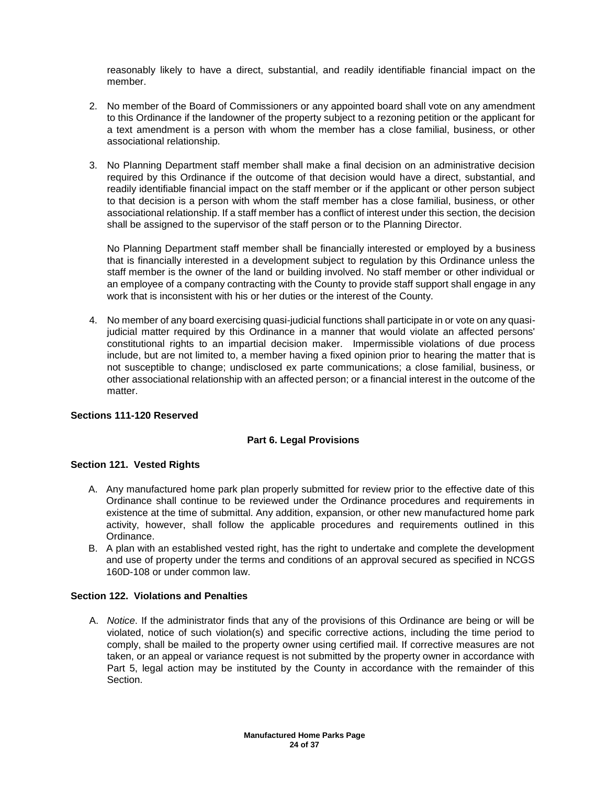reasonably likely to have a direct, substantial, and readily identifiable financial impact on the member.

- 2. No member of the Board of Commissioners or any appointed board shall vote on any amendment to this Ordinance if the landowner of the property subject to a rezoning petition or the applicant for a text amendment is a person with whom the member has a close familial, business, or other associational relationship.
- 3. No Planning Department staff member shall make a final decision on an administrative decision required by this Ordinance if the outcome of that decision would have a direct, substantial, and readily identifiable financial impact on the staff member or if the applicant or other person subject to that decision is a person with whom the staff member has a close familial, business, or other associational relationship. If a staff member has a conflict of interest under this section, the decision shall be assigned to the supervisor of the staff person or to the Planning Director.

No Planning Department staff member shall be financially interested or employed by a business that is financially interested in a development subject to regulation by this Ordinance unless the staff member is the owner of the land or building involved. No staff member or other individual or an employee of a company contracting with the County to provide staff support shall engage in any work that is inconsistent with his or her duties or the interest of the County.

4. No member of any board exercising quasi-judicial functions shall participate in or vote on any quasijudicial matter required by this Ordinance in a manner that would violate an affected persons' constitutional rights to an impartial decision maker. Impermissible violations of due process include, but are not limited to, a member having a fixed opinion prior to hearing the matter that is not susceptible to change; undisclosed ex parte communications; a close familial, business, or other associational relationship with an affected person; or a financial interest in the outcome of the matter.

## **Sections 111-120 Reserved**

## **Part 6. Legal Provisions**

## **Section 121. Vested Rights**

- A. Any manufactured home park plan properly submitted for review prior to the effective date of this Ordinance shall continue to be reviewed under the Ordinance procedures and requirements in existence at the time of submittal. Any addition, expansion, or other new manufactured home park activity, however, shall follow the applicable procedures and requirements outlined in this Ordinance.
- B. A plan with an established vested right, has the right to undertake and complete the development and use of property under the terms and conditions of an approval secured as specified in NCGS 160D-108 or under common law.

# **Section 122. Violations and Penalties**

A. *Notice*. If the administrator finds that any of the provisions of this Ordinance are being or will be violated, notice of such violation(s) and specific corrective actions, including the time period to comply, shall be mailed to the property owner using certified mail. If corrective measures are not taken, or an appeal or variance request is not submitted by the property owner in accordance with Part 5, legal action may be instituted by the County in accordance with the remainder of this Section.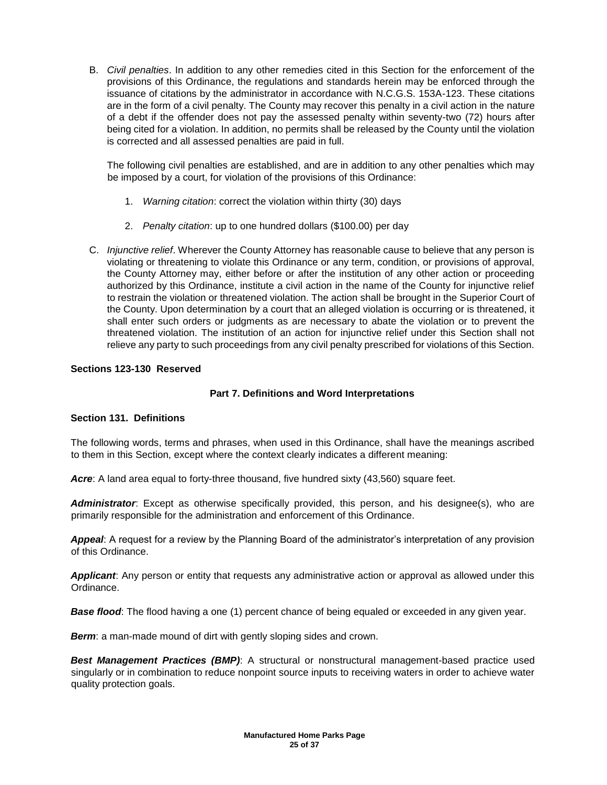B. *Civil penalties*. In addition to any other remedies cited in this Section for the enforcement of the provisions of this Ordinance, the regulations and standards herein may be enforced through the issuance of citations by the administrator in accordance with N.C.G.S. 153A-123. These citations are in the form of a civil penalty. The County may recover this penalty in a civil action in the nature of a debt if the offender does not pay the assessed penalty within seventy-two (72) hours after being cited for a violation. In addition, no permits shall be released by the County until the violation is corrected and all assessed penalties are paid in full.

The following civil penalties are established, and are in addition to any other penalties which may be imposed by a court, for violation of the provisions of this Ordinance:

- 1. *Warning citation*: correct the violation within thirty (30) days
- 2. *Penalty citation*: up to one hundred dollars (\$100.00) per day
- C. *Injunctive relief*. Wherever the County Attorney has reasonable cause to believe that any person is violating or threatening to violate this Ordinance or any term, condition, or provisions of approval, the County Attorney may, either before or after the institution of any other action or proceeding authorized by this Ordinance, institute a civil action in the name of the County for injunctive relief to restrain the violation or threatened violation. The action shall be brought in the Superior Court of the County. Upon determination by a court that an alleged violation is occurring or is threatened, it shall enter such orders or judgments as are necessary to abate the violation or to prevent the threatened violation. The institution of an action for injunctive relief under this Section shall not relieve any party to such proceedings from any civil penalty prescribed for violations of this Section.

# **Sections 123-130 Reserved**

## **Part 7. Definitions and Word Interpretations**

## **Section 131. Definitions**

The following words, terms and phrases, when used in this Ordinance, shall have the meanings ascribed to them in this Section, except where the context clearly indicates a different meaning:

Acre: A land area equal to forty-three thousand, five hundred sixty (43,560) square feet.

*Administrator*: Except as otherwise specifically provided, this person, and his designee(s), who are primarily responsible for the administration and enforcement of this Ordinance.

*Appeal*: A request for a review by the Planning Board of the administrator's interpretation of any provision of this Ordinance.

*Applicant*: Any person or entity that requests any administrative action or approval as allowed under this Ordinance.

**Base flood**: The flood having a one (1) percent chance of being equaled or exceeded in any given year.

*Berm*: a man-made mound of dirt with gently sloping sides and crown.

**Best Management Practices (BMP)**: A structural or nonstructural management-based practice used singularly or in combination to reduce nonpoint source inputs to receiving waters in order to achieve water quality protection goals.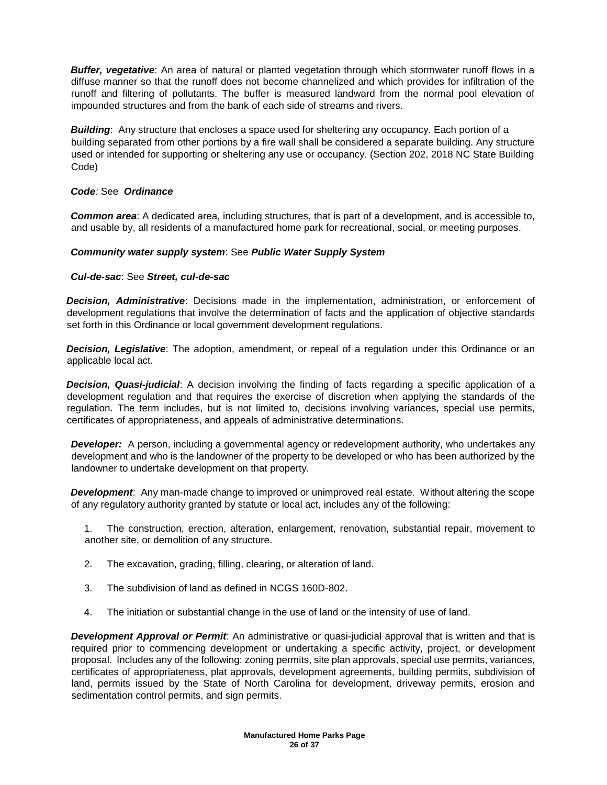**Buffer, vegetative**: An area of natural or planted vegetation through which stormwater runoff flows in a diffuse manner so that the runoff does not become channelized and which provides for infiltration of the runoff and filtering of pollutants. The buffer is measured landward from the normal pool elevation of impounded structures and from the bank of each side of streams and rivers.

**Building**: Any structure that encloses a space used for sheltering any occupancy. Each portion of a building separated from other portions by a fire wall shall be considered a separate building. Any structure used or intended for supporting or sheltering any use or occupancy. (Section 202, 2018 NC State Building Code)

# *Code:* See *Ordinance*

*Common area*: A dedicated area, including structures, that is part of a development, and is accessible to, and usable by, all residents of a manufactured home park for recreational, social, or meeting purposes.

# *Community water supply system*: See *Public Water Supply System*

# *Cul-de-sac*: See *Street, cul-de-sac*

*Decision, Administrative*: Decisions made in the implementation, administration, or enforcement of development regulations that involve the determination of facts and the application of objective standards set forth in this Ordinance or local government development regulations.

*Decision, Legislative*: The adoption, amendment, or repeal of a regulation under this Ordinance or an applicable local act.

*Decision, Quasi-judicial*: A decision involving the finding of facts regarding a specific application of a development regulation and that requires the exercise of discretion when applying the standards of the regulation. The term includes, but is not limited to, decisions involving variances, special use permits, certificates of appropriateness, and appeals of administrative determinations.

*Developer:* A person, including a governmental agency or redevelopment authority, who undertakes any development and who is the landowner of the property to be developed or who has been authorized by the landowner to undertake development on that property.

*Development*: Any man-made change to improved or unimproved real estate. Without altering the scope of any regulatory authority granted by statute or local act, includes any of the following:

1. The construction, erection, alteration, enlargement, renovation, substantial repair, movement to another site, or demolition of any structure.

- 2. The excavation, grading, filling, clearing, or alteration of land.
- 3. The subdivision of land as defined in NCGS 160D-802.
- 4. The initiation or substantial change in the use of land or the intensity of use of land.

*Development Approval or Permit*: An administrative or quasi-judicial approval that is written and that is required prior to commencing development or undertaking a specific activity, project, or development proposal. Includes any of the following: zoning permits, site plan approvals, special use permits, variances, certificates of appropriateness, plat approvals, development agreements, building permits, subdivision of land, permits issued by the State of North Carolina for development, driveway permits, erosion and sedimentation control permits, and sign permits.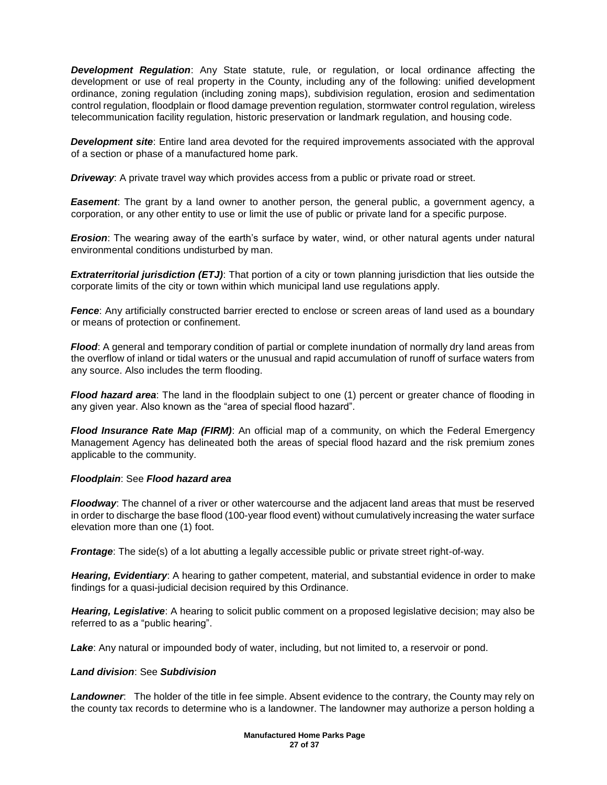*Development Regulation*: Any State statute, rule, or regulation, or local ordinance affecting the development or use of real property in the County, including any of the following: unified development ordinance, zoning regulation (including zoning maps), subdivision regulation, erosion and sedimentation control regulation, floodplain or flood damage prevention regulation, stormwater control regulation, wireless telecommunication facility regulation, historic preservation or landmark regulation, and housing code.

*Development site*: Entire land area devoted for the required improvements associated with the approval of a section or phase of a manufactured home park.

*Driveway*: A private travel way which provides access from a public or private road or street.

**Easement**: The grant by a land owner to another person, the general public, a government agency, a corporation, or any other entity to use or limit the use of public or private land for a specific purpose.

*Erosion*: The wearing away of the earth's surface by water, wind, or other natural agents under natural environmental conditions undisturbed by man.

*Extraterritorial jurisdiction (ETJ)*: That portion of a city or town planning jurisdiction that lies outside the corporate limits of the city or town within which municipal land use regulations apply.

**Fence**: Any artificially constructed barrier erected to enclose or screen areas of land used as a boundary or means of protection or confinement.

*Flood*: A general and temporary condition of partial or complete inundation of normally dry land areas from the overflow of inland or tidal waters or the unusual and rapid accumulation of runoff of surface waters from any source. Also includes the term flooding.

*Flood hazard area*: The land in the floodplain subject to one (1) percent or greater chance of flooding in any given year. Also known as the "area of special flood hazard".

**Flood Insurance Rate Map (FIRM)**: An official map of a community, on which the Federal Emergency Management Agency has delineated both the areas of special flood hazard and the risk premium zones applicable to the community.

## *Floodplain*: See *Flood hazard area*

*Floodway*: The channel of a river or other watercourse and the adjacent land areas that must be reserved in order to discharge the base flood (100-year flood event) without cumulatively increasing the water surface elevation more than one (1) foot.

*Frontage*: The side(s) of a lot abutting a legally accessible public or private street right-of-way.

*Hearing, Evidentiary*: A hearing to gather competent, material, and substantial evidence in order to make findings for a quasi-judicial decision required by this Ordinance.

*Hearing, Legislative*: A hearing to solicit public comment on a proposed legislative decision; may also be referred to as a "public hearing".

Lake: Any natural or impounded body of water, including, but not limited to, a reservoir or pond.

## *Land division*: See *Subdivision*

*Landowner*: The holder of the title in fee simple. Absent evidence to the contrary, the County may rely on the county tax records to determine who is a landowner. The landowner may authorize a person holding a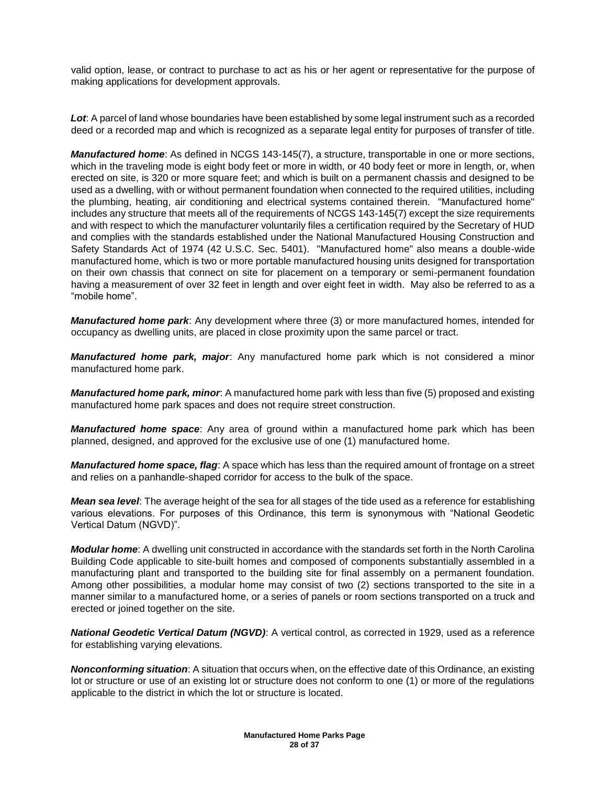valid option, lease, or contract to purchase to act as his or her agent or representative for the purpose of making applications for development approvals.

*Lot*: A parcel of land whose boundaries have been established by some legal instrument such as a recorded deed or a recorded map and which is recognized as a separate legal entity for purposes of transfer of title.

*Manufactured home*: As defined in NCGS 143-145(7), a structure, transportable in one or more sections, which in the traveling mode is eight body feet or more in width, or 40 body feet or more in length, or, when erected on site, is 320 or more square feet; and which is built on a permanent chassis and designed to be used as a dwelling, with or without permanent foundation when connected to the required utilities, including the plumbing, heating, air conditioning and electrical systems contained therein. "Manufactured home" includes any structure that meets all of the requirements of NCGS 143-145(7) except the size requirements and with respect to which the manufacturer voluntarily files a certification required by the Secretary of HUD and complies with the standards established under the National Manufactured Housing Construction and Safety Standards Act of 1974 (42 U.S.C. Sec. 5401). "Manufactured home" also means a double-wide manufactured home, which is two or more portable manufactured housing units designed for transportation on their own chassis that connect on site for placement on a temporary or semi-permanent foundation having a measurement of over 32 feet in length and over eight feet in width. May also be referred to as a "mobile home".

*Manufactured home park*: Any development where three (3) or more manufactured homes, intended for occupancy as dwelling units, are placed in close proximity upon the same parcel or tract.

*Manufactured home park, major*: Any manufactured home park which is not considered a minor manufactured home park.

*Manufactured home park, minor*: A manufactured home park with less than five (5) proposed and existing manufactured home park spaces and does not require street construction.

*Manufactured home space*: Any area of ground within a manufactured home park which has been planned, designed, and approved for the exclusive use of one (1) manufactured home.

*Manufactured home space, flag*: A space which has less than the required amount of frontage on a street and relies on a panhandle-shaped corridor for access to the bulk of the space.

*Mean sea level*: The average height of the sea for all stages of the tide used as a reference for establishing various elevations. For purposes of this Ordinance, this term is synonymous with "National Geodetic Vertical Datum (NGVD)".

*Modular home*: A dwelling unit constructed in accordance with the standards set forth in the North Carolina Building Code applicable to site-built homes and composed of components substantially assembled in a manufacturing plant and transported to the building site for final assembly on a permanent foundation. Among other possibilities, a modular home may consist of two (2) sections transported to the site in a manner similar to a manufactured home, or a series of panels or room sections transported on a truck and erected or joined together on the site.

*National Geodetic Vertical Datum (NGVD)*: A vertical control, as corrected in 1929, used as a reference for establishing varying elevations.

*Nonconforming situation*: A situation that occurs when, on the effective date of this Ordinance, an existing lot or structure or use of an existing lot or structure does not conform to one (1) or more of the regulations applicable to the district in which the lot or structure is located.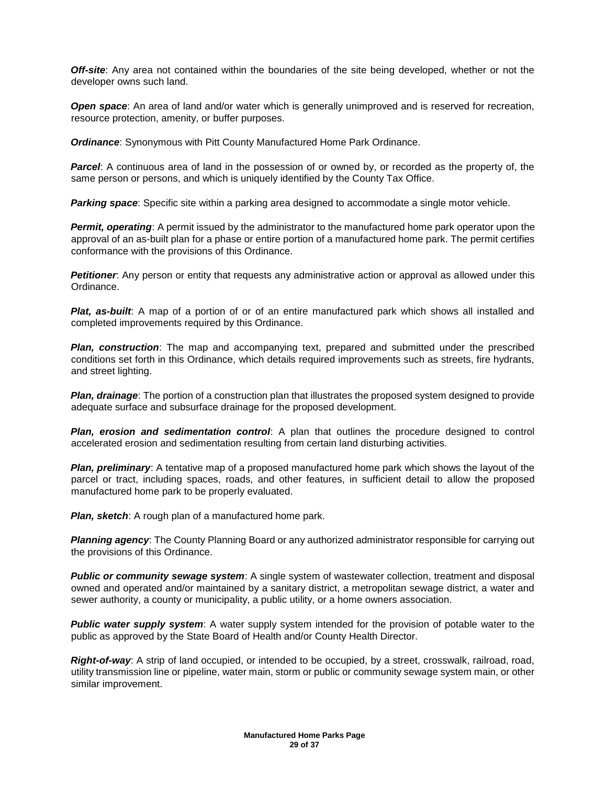*Off-site*: Any area not contained within the boundaries of the site being developed, whether or not the developer owns such land.

**Open space**: An area of land and/or water which is generally unimproved and is reserved for recreation, resource protection, amenity, or buffer purposes.

*Ordinance*: Synonymous with Pitt County Manufactured Home Park Ordinance.

**Parcel:** A continuous area of land in the possession of or owned by, or recorded as the property of, the same person or persons, and which is uniquely identified by the County Tax Office.

**Parking space**: Specific site within a parking area designed to accommodate a single motor vehicle.

**Permit, operating**: A permit issued by the administrator to the manufactured home park operator upon the approval of an as-built plan for a phase or entire portion of a manufactured home park. The permit certifies conformance with the provisions of this Ordinance.

**Petitioner**: Any person or entity that requests any administrative action or approval as allowed under this Ordinance.

*Plat, as-built*: A map of a portion of or of an entire manufactured park which shows all installed and completed improvements required by this Ordinance.

*Plan, construction*: The map and accompanying text, prepared and submitted under the prescribed conditions set forth in this Ordinance, which details required improvements such as streets, fire hydrants, and street lighting.

*Plan, drainage*: The portion of a construction plan that illustrates the proposed system designed to provide adequate surface and subsurface drainage for the proposed development.

*Plan, erosion and sedimentation control*: A plan that outlines the procedure designed to control accelerated erosion and sedimentation resulting from certain land disturbing activities.

*Plan, preliminary*: A tentative map of a proposed manufactured home park which shows the layout of the parcel or tract, including spaces, roads, and other features, in sufficient detail to allow the proposed manufactured home park to be properly evaluated.

*Plan, sketch: A rough plan of a manufactured home park.* 

*Planning agency*: The County Planning Board or any authorized administrator responsible for carrying out the provisions of this Ordinance.

**Public or community sewage system**: A single system of wastewater collection, treatment and disposal owned and operated and/or maintained by a sanitary district, a metropolitan sewage district, a water and sewer authority, a county or municipality, a public utility, or a home owners association.

*Public water supply system*: A water supply system intended for the provision of potable water to the public as approved by the State Board of Health and/or County Health Director.

*Right-of-way*: A strip of land occupied, or intended to be occupied, by a street, crosswalk, railroad, road, utility transmission line or pipeline, water main, storm or public or community sewage system main, or other similar improvement.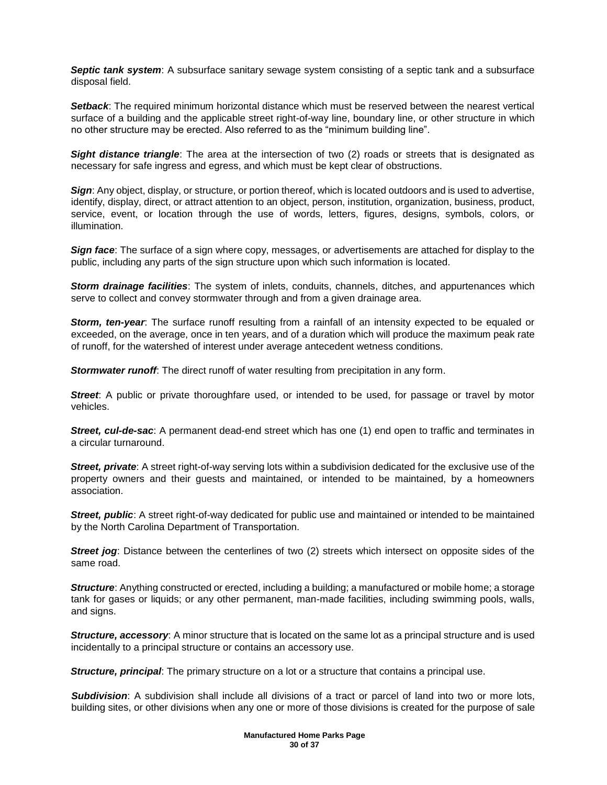*Septic tank system*: A subsurface sanitary sewage system consisting of a septic tank and a subsurface disposal field.

*Setback*: The required minimum horizontal distance which must be reserved between the nearest vertical surface of a building and the applicable street right-of-way line, boundary line, or other structure in which no other structure may be erected. Also referred to as the "minimum building line".

**Sight distance triangle**: The area at the intersection of two (2) roads or streets that is designated as necessary for safe ingress and egress, and which must be kept clear of obstructions.

*Sign*: Any object, display, or structure, or portion thereof, which is located outdoors and is used to advertise, identify, display, direct, or attract attention to an object, person, institution, organization, business, product, service, event, or location through the use of words, letters, figures, designs, symbols, colors, or illumination.

*Sign face*: The surface of a sign where copy, messages, or advertisements are attached for display to the public, including any parts of the sign structure upon which such information is located.

*Storm drainage facilities*: The system of inlets, conduits, channels, ditches, and appurtenances which serve to collect and convey stormwater through and from a given drainage area.

*Storm, ten-year*: The surface runoff resulting from a rainfall of an intensity expected to be equaled or exceeded, on the average, once in ten years, and of a duration which will produce the maximum peak rate of runoff, for the watershed of interest under average antecedent wetness conditions.

*Stormwater runoff*: The direct runoff of water resulting from precipitation in any form.

*Street***:** A public or private thoroughfare used, or intended to be used, for passage or travel by motor vehicles.

*Street, cul-de-sac*: A permanent dead-end street which has one (1) end open to traffic and terminates in a circular turnaround.

*Street, private*: A street right-of-way serving lots within a subdivision dedicated for the exclusive use of the property owners and their guests and maintained, or intended to be maintained, by a homeowners association.

*Street, public*: A street right-of-way dedicated for public use and maintained or intended to be maintained by the North Carolina Department of Transportation.

**Street jog**: Distance between the centerlines of two (2) streets which intersect on opposite sides of the same road.

*Structure*: Anything constructed or erected, including a building; a manufactured or mobile home; a storage tank for gases or liquids; or any other permanent, man-made facilities, including swimming pools, walls, and signs.

*Structure, accessory:* A minor structure that is located on the same lot as a principal structure and is used incidentally to a principal structure or contains an accessory use.

*Structure, principal*: The primary structure on a lot or a structure that contains a principal use.

*Subdivision*: A subdivision shall include all divisions of a tract or parcel of land into two or more lots, building sites, or other divisions when any one or more of those divisions is created for the purpose of sale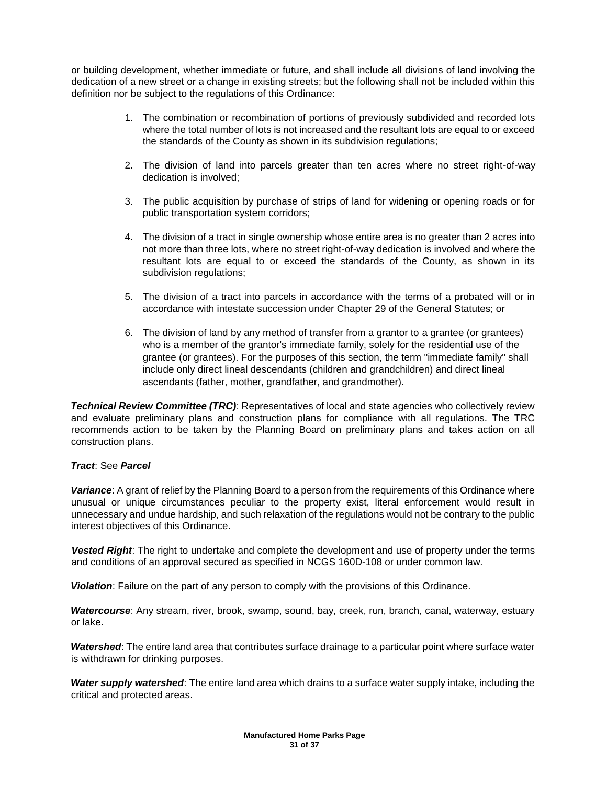or building development, whether immediate or future, and shall include all divisions of land involving the dedication of a new street or a change in existing streets; but the following shall not be included within this definition nor be subject to the regulations of this Ordinance:

- 1. The combination or recombination of portions of previously subdivided and recorded lots where the total number of lots is not increased and the resultant lots are equal to or exceed the standards of the County as shown in its subdivision regulations;
- 2. The division of land into parcels greater than ten acres where no street right-of-way dedication is involved;
- 3. The public acquisition by purchase of strips of land for widening or opening roads or for public transportation system corridors;
- 4. The division of a tract in single ownership whose entire area is no greater than 2 acres into not more than three lots, where no street right-of-way dedication is involved and where the resultant lots are equal to or exceed the standards of the County, as shown in its subdivision regulations;
- 5. The division of a tract into parcels in accordance with the terms of a probated will or in accordance with intestate succession under Chapter 29 of the General Statutes; or
- 6. The division of land by any method of transfer from a grantor to a grantee (or grantees) who is a member of the grantor's immediate family, solely for the residential use of the grantee (or grantees). For the purposes of this section, the term "immediate family" shall include only direct lineal descendants (children and grandchildren) and direct lineal ascendants (father, mother, grandfather, and grandmother).

**Technical Review Committee (TRC)**: Representatives of local and state agencies who collectively review and evaluate preliminary plans and construction plans for compliance with all regulations. The TRC recommends action to be taken by the Planning Board on preliminary plans and takes action on all construction plans.

## *Tract*: See *Parcel*

*Variance*: A grant of relief by the Planning Board to a person from the requirements of this Ordinance where unusual or unique circumstances peculiar to the property exist, literal enforcement would result in unnecessary and undue hardship, and such relaxation of the regulations would not be contrary to the public interest objectives of this Ordinance.

*Vested Right*: The right to undertake and complete the development and use of property under the terms and conditions of an approval secured as specified in NCGS 160D-108 or under common law.

*Violation*: Failure on the part of any person to comply with the provisions of this Ordinance.

*Watercourse*: Any stream, river, brook, swamp, sound, bay, creek, run, branch, canal, waterway, estuary or lake.

*Watershed*: The entire land area that contributes surface drainage to a particular point where surface water is withdrawn for drinking purposes.

*Water supply watershed*: The entire land area which drains to a surface water supply intake, including the critical and protected areas.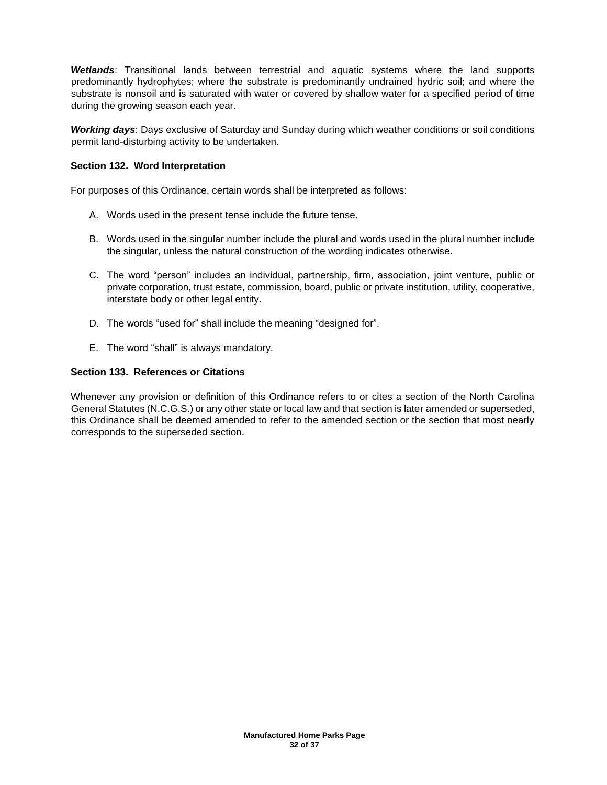*Wetlands*: Transitional lands between terrestrial and aquatic systems where the land supports predominantly hydrophytes; where the substrate is predominantly undrained hydric soil; and where the substrate is nonsoil and is saturated with water or covered by shallow water for a specified period of time during the growing season each year.

*Working days*: Days exclusive of Saturday and Sunday during which weather conditions or soil conditions permit land-disturbing activity to be undertaken.

## **Section 132. Word Interpretation**

For purposes of this Ordinance, certain words shall be interpreted as follows:

- A. Words used in the present tense include the future tense.
- B. Words used in the singular number include the plural and words used in the plural number include the singular, unless the natural construction of the wording indicates otherwise.
- C. The word "person" includes an individual, partnership, firm, association, joint venture, public or private corporation, trust estate, commission, board, public or private institution, utility, cooperative, interstate body or other legal entity.
- D. The words "used for" shall include the meaning "designed for".
- E. The word "shall" is always mandatory.

# **Section 133. References or Citations**

Whenever any provision or definition of this Ordinance refers to or cites a section of the North Carolina General Statutes (N.C.G.S.) or any other state or local law and that section is later amended or superseded, this Ordinance shall be deemed amended to refer to the amended section or the section that most nearly corresponds to the superseded section.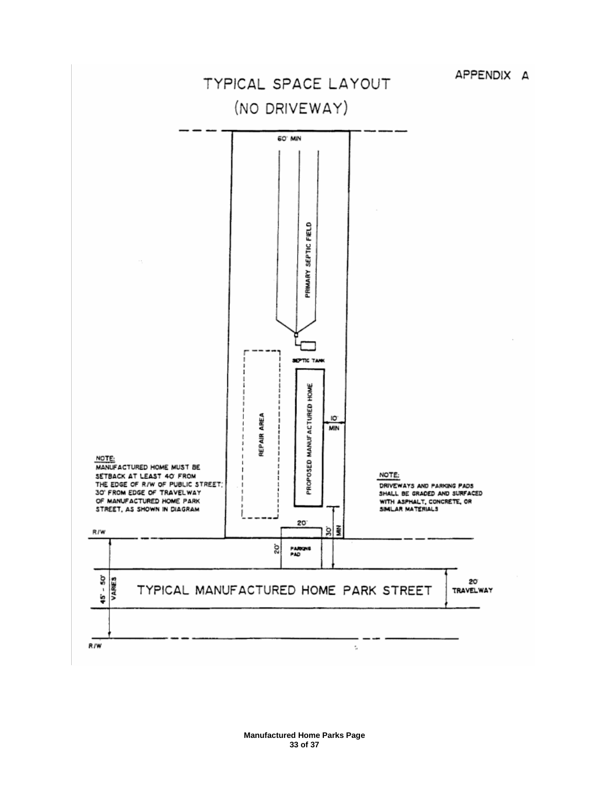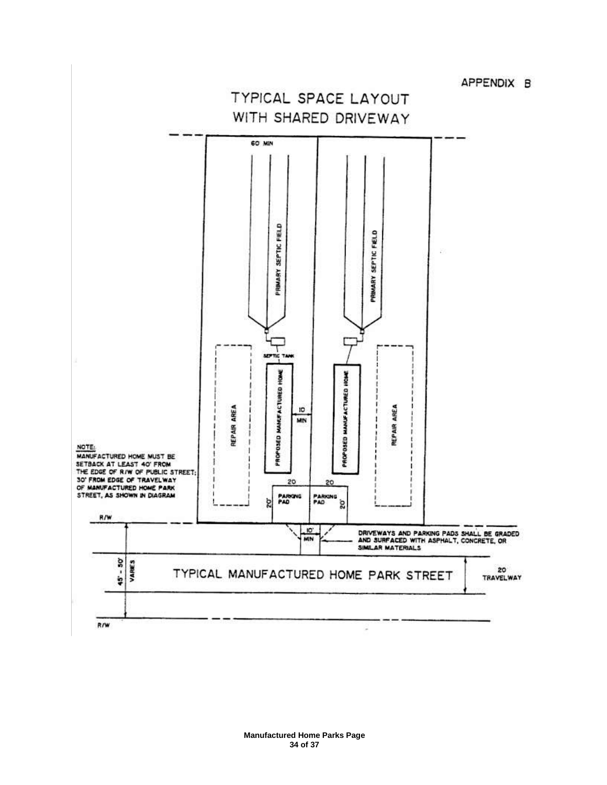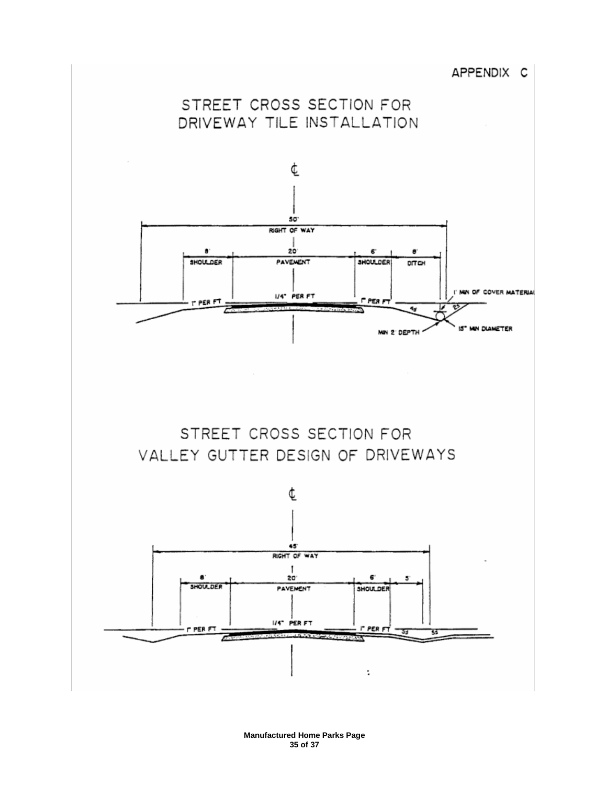



STREET CROSS SECTION FOR VALLEY GUTTER DESIGN OF DRIVEWAYS

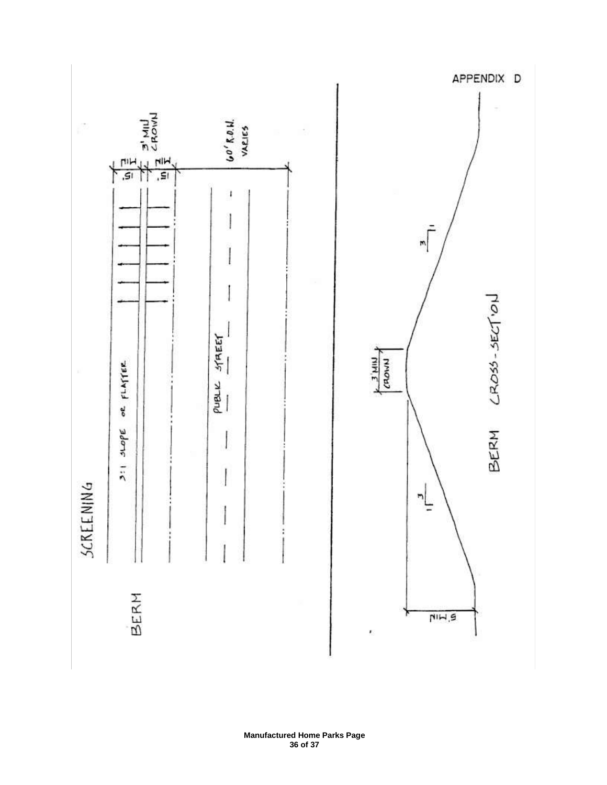